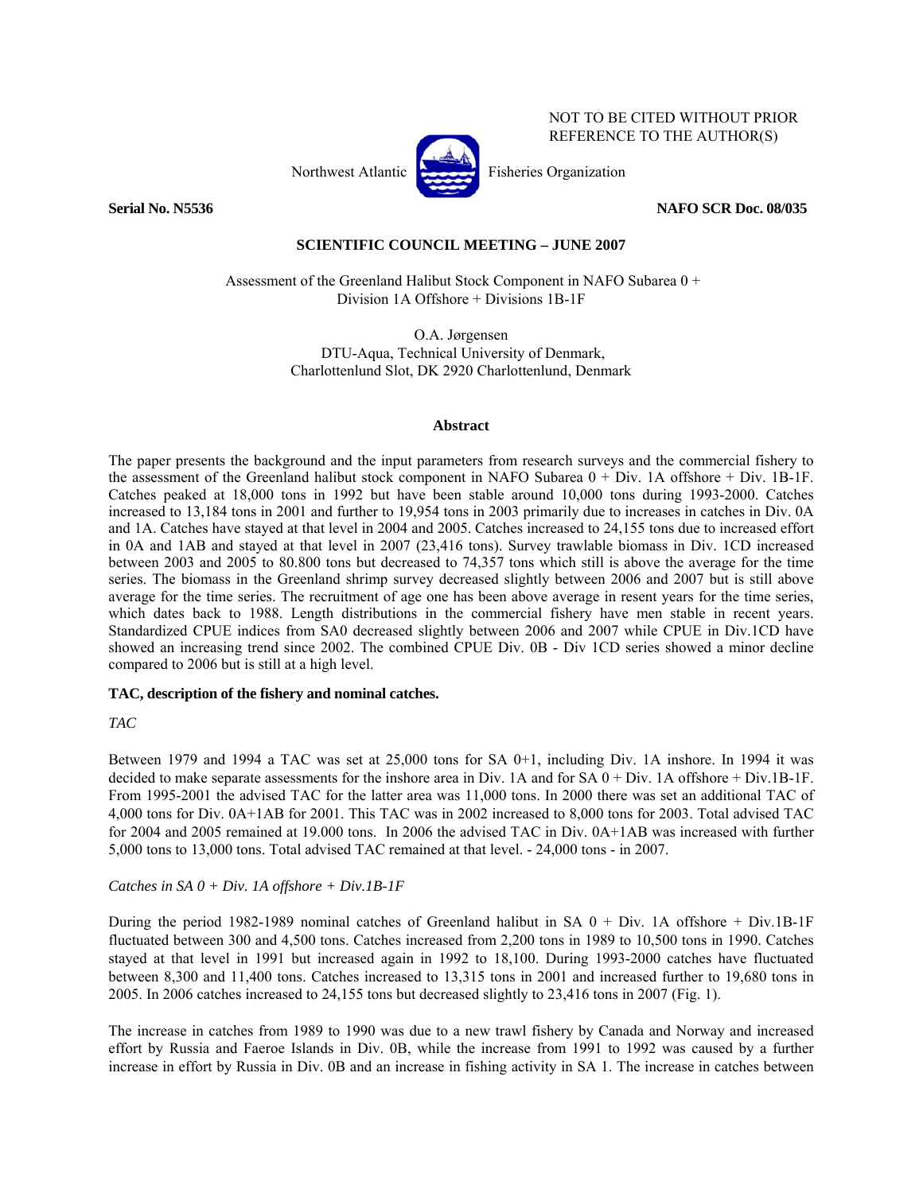

NOT TO BE CITED WITHOUT PRIOR REFERENCE TO THE AUTHOR(S)

**Serial No. N5536 NAFO SCR Doc. 08/035** 

# **SCIENTIFIC COUNCIL MEETING – JUNE 2007**

 Assessment of the Greenland Halibut Stock Component in NAFO Subarea 0 + Division 1A Offshore + Divisions 1B-1F

> O.A. Jørgensen DTU-Aqua, Technical University of Denmark, Charlottenlund Slot, DK 2920 Charlottenlund, Denmark

#### **Abstract**

The paper presents the background and the input parameters from research surveys and the commercial fishery to the assessment of the Greenland halibut stock component in NAFO Subarea 0 + Div. 1A offshore + Div. 1B-1F. Catches peaked at 18,000 tons in 1992 but have been stable around 10,000 tons during 1993-2000. Catches increased to 13,184 tons in 2001 and further to 19,954 tons in 2003 primarily due to increases in catches in Div. 0A and 1A. Catches have stayed at that level in 2004 and 2005. Catches increased to 24,155 tons due to increased effort in 0A and 1AB and stayed at that level in 2007 (23,416 tons). Survey trawlable biomass in Div. 1CD increased between 2003 and 2005 to 80.800 tons but decreased to 74,357 tons which still is above the average for the time series. The biomass in the Greenland shrimp survey decreased slightly between 2006 and 2007 but is still above average for the time series. The recruitment of age one has been above average in resent years for the time series, which dates back to 1988. Length distributions in the commercial fishery have men stable in recent years. Standardized CPUE indices from SA0 decreased slightly between 2006 and 2007 while CPUE in Div.1CD have showed an increasing trend since 2002. The combined CPUE Div. 0B - Div 1CD series showed a minor decline compared to 2006 but is still at a high level.

# **TAC, description of the fishery and nominal catches.**

# *TAC*

Between 1979 and 1994 a TAC was set at 25,000 tons for SA 0+1, including Div. 1A inshore. In 1994 it was decided to make separate assessments for the inshore area in Div. 1A and for SA 0 + Div. 1A offshore + Div.1B-1F. From 1995-2001 the advised TAC for the latter area was 11,000 tons. In 2000 there was set an additional TAC of 4,000 tons for Div. 0A+1AB for 2001. This TAC was in 2002 increased to 8,000 tons for 2003. Total advised TAC for 2004 and 2005 remained at 19.000 tons. In 2006 the advised TAC in Div. 0A+1AB was increased with further 5,000 tons to 13,000 tons. Total advised TAC remained at that level. - 24,000 tons - in 2007.

# *Catches in SA 0 + Div. 1A offshore + Div.1B-1F*

During the period 1982-1989 nominal catches of Greenland halibut in SA  $0 + Div.$  1A offshore + Div.1B-1F fluctuated between 300 and 4,500 tons. Catches increased from 2,200 tons in 1989 to 10,500 tons in 1990. Catches stayed at that level in 1991 but increased again in 1992 to 18,100. During 1993-2000 catches have fluctuated between 8,300 and 11,400 tons. Catches increased to 13,315 tons in 2001 and increased further to 19,680 tons in 2005. In 2006 catches increased to 24,155 tons but decreased slightly to 23,416 tons in 2007 (Fig. 1).

The increase in catches from 1989 to 1990 was due to a new trawl fishery by Canada and Norway and increased effort by Russia and Faeroe Islands in Div. 0B, while the increase from 1991 to 1992 was caused by a further increase in effort by Russia in Div. 0B and an increase in fishing activity in SA 1. The increase in catches between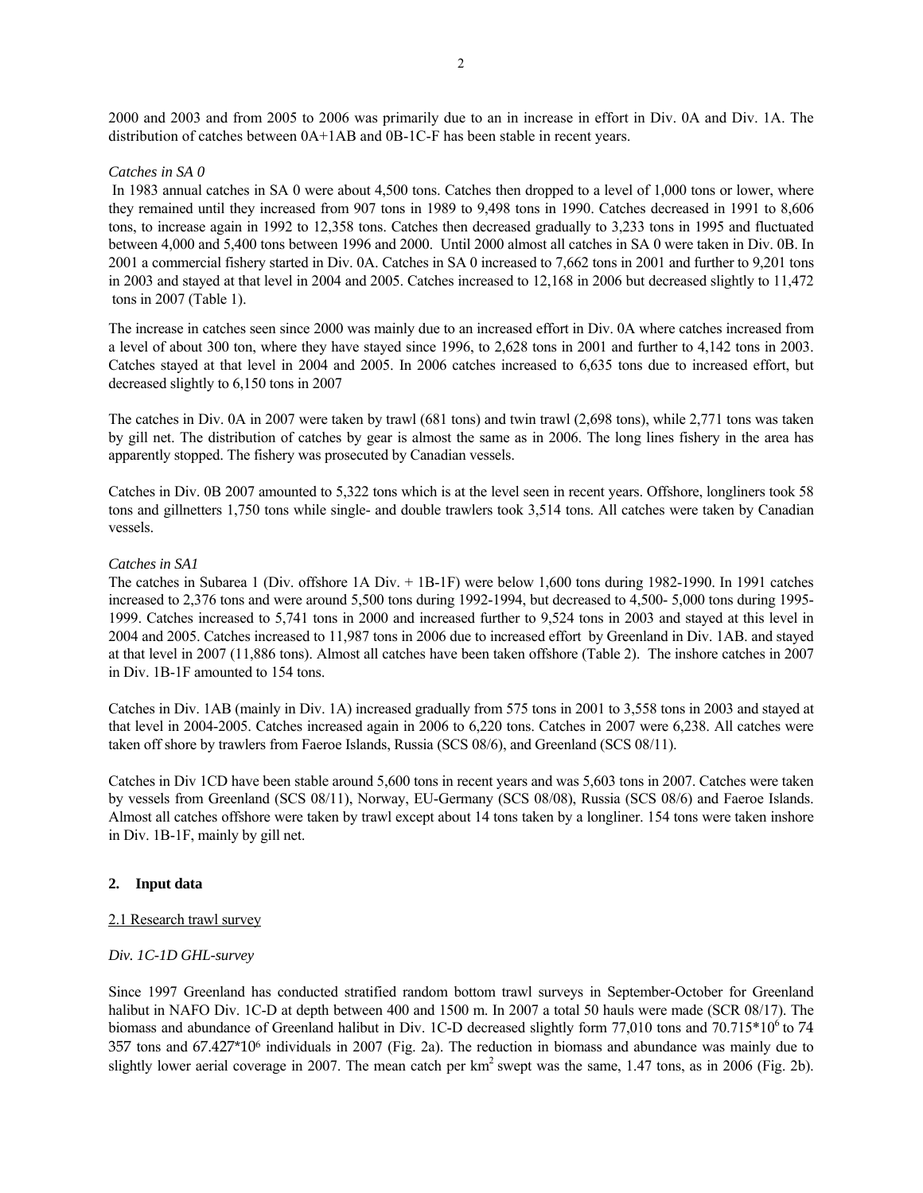2000 and 2003 and from 2005 to 2006 was primarily due to an in increase in effort in Div. 0A and Div. 1A. The distribution of catches between 0A+1AB and 0B-1C-F has been stable in recent years.

#### *Catches in SA 0*

 In 1983 annual catches in SA 0 were about 4,500 tons. Catches then dropped to a level of 1,000 tons or lower, where they remained until they increased from 907 tons in 1989 to 9,498 tons in 1990. Catches decreased in 1991 to 8,606 tons, to increase again in 1992 to 12,358 tons. Catches then decreased gradually to 3,233 tons in 1995 and fluctuated between 4,000 and 5,400 tons between 1996 and 2000. Until 2000 almost all catches in SA 0 were taken in Div. 0B. In 2001 a commercial fishery started in Div. 0A. Catches in SA 0 increased to 7,662 tons in 2001 and further to 9,201 tons in 2003 and stayed at that level in 2004 and 2005. Catches increased to 12,168 in 2006 but decreased slightly to 11,472 tons in 2007 (Table 1).

The increase in catches seen since 2000 was mainly due to an increased effort in Div. 0A where catches increased from a level of about 300 ton, where they have stayed since 1996, to 2,628 tons in 2001 and further to 4,142 tons in 2003. Catches stayed at that level in 2004 and 2005. In 2006 catches increased to 6,635 tons due to increased effort, but decreased slightly to 6,150 tons in 2007

The catches in Div. 0A in 2007 were taken by trawl (681 tons) and twin trawl (2,698 tons), while 2,771 tons was taken by gill net. The distribution of catches by gear is almost the same as in 2006. The long lines fishery in the area has apparently stopped. The fishery was prosecuted by Canadian vessels.

Catches in Div. 0B 2007 amounted to 5,322 tons which is at the level seen in recent years. Offshore, longliners took 58 tons and gillnetters 1,750 tons while single- and double trawlers took 3,514 tons. All catches were taken by Canadian vessels.

#### *Catches in SA1*

The catches in Subarea 1 (Div. offshore 1A Div. + 1B-1F) were below 1,600 tons during 1982-1990. In 1991 catches increased to 2,376 tons and were around 5,500 tons during 1992-1994, but decreased to 4,500- 5,000 tons during 1995- 1999. Catches increased to 5,741 tons in 2000 and increased further to 9,524 tons in 2003 and stayed at this level in 2004 and 2005. Catches increased to 11,987 tons in 2006 due to increased effort by Greenland in Div. 1AB. and stayed at that level in 2007 (11,886 tons). Almost all catches have been taken offshore (Table 2). The inshore catches in 2007 in Div. 1B-1F amounted to 154 tons.

Catches in Div. 1AB (mainly in Div. 1A) increased gradually from 575 tons in 2001 to 3,558 tons in 2003 and stayed at that level in 2004-2005. Catches increased again in 2006 to 6,220 tons. Catches in 2007 were 6,238. All catches were taken off shore by trawlers from Faeroe Islands, Russia (SCS 08/6), and Greenland (SCS 08/11).

Catches in Div 1CD have been stable around 5,600 tons in recent years and was 5,603 tons in 2007. Catches were taken by vessels from Greenland (SCS 08/11), Norway, EU-Germany (SCS 08/08), Russia (SCS 08/6) and Faeroe Islands. Almost all catches offshore were taken by trawl except about 14 tons taken by a longliner. 154 tons were taken inshore in Div. 1B-1F, mainly by gill net.

#### **2. Input data**

#### 2.1 Research trawl survey

#### *Div. 1C-1D GHL-survey*

Since 1997 Greenland has conducted stratified random bottom trawl surveys in September-October for Greenland halibut in NAFO Div. 1C-D at depth between 400 and 1500 m. In 2007 a total 50 hauls were made (SCR 08/17). The biomass and abundance of Greenland halibut in Div. 1C-D decreased slightly form 77,010 tons and 70.715\*10<sup>6</sup> to 74 357 tons and 67.427\*106 individuals in 2007 (Fig. 2a). The reduction in biomass and abundance was mainly due to slightly lower aerial coverage in 2007. The mean catch per  $km^2$  swept was the same, 1.47 tons, as in 2006 (Fig. 2b).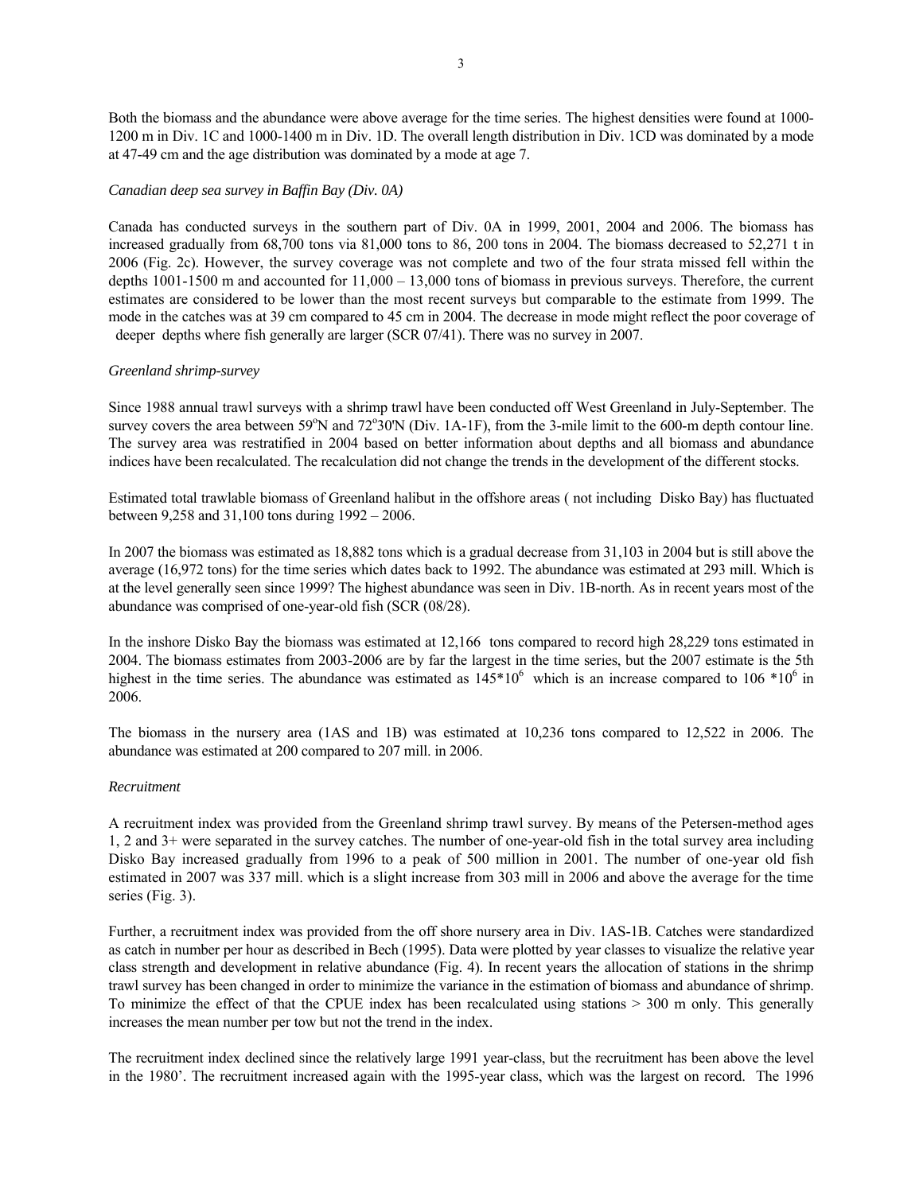Both the biomass and the abundance were above average for the time series. The highest densities were found at 1000- 1200 m in Div. 1C and 1000-1400 m in Div. 1D. The overall length distribution in Div. 1CD was dominated by a mode at 47-49 cm and the age distribution was dominated by a mode at age 7.

#### *Canadian deep sea survey in Baffin Bay (Div. 0A)*

Canada has conducted surveys in the southern part of Div. 0A in 1999, 2001, 2004 and 2006. The biomass has increased gradually from 68,700 tons via 81,000 tons to 86, 200 tons in 2004. The biomass decreased to 52,271 t in 2006 (Fig. 2c). However, the survey coverage was not complete and two of the four strata missed fell within the depths 1001-1500 m and accounted for 11,000 – 13,000 tons of biomass in previous surveys. Therefore, the current estimates are considered to be lower than the most recent surveys but comparable to the estimate from 1999. The mode in the catches was at 39 cm compared to 45 cm in 2004. The decrease in mode might reflect the poor coverage of deeper depths where fish generally are larger (SCR 07/41). There was no survey in 2007.

## *Greenland shrimp-survey*

Since 1988 annual trawl surveys with a shrimp trawl have been conducted off West Greenland in July-September. The survey covers the area between 59°N and 72°30'N (Div. 1A-1F), from the 3-mile limit to the 600-m depth contour line. The survey area was restratified in 2004 based on better information about depths and all biomass and abundance indices have been recalculated. The recalculation did not change the trends in the development of the different stocks.

Estimated total trawlable biomass of Greenland halibut in the offshore areas ( not including Disko Bay) has fluctuated between 9,258 and 31,100 tons during 1992 – 2006.

In 2007 the biomass was estimated as 18,882 tons which is a gradual decrease from 31,103 in 2004 but is still above the average (16,972 tons) for the time series which dates back to 1992. The abundance was estimated at 293 mill. Which is at the level generally seen since 1999? The highest abundance was seen in Div. 1B-north. As in recent years most of the abundance was comprised of one-year-old fish (SCR (08/28).

In the inshore Disko Bay the biomass was estimated at 12,166 tons compared to record high 28,229 tons estimated in 2004. The biomass estimates from 2003-2006 are by far the largest in the time series, but the 2007 estimate is the 5th highest in the time series. The abundance was estimated as  $145*10^6$  which is an increase compared to  $106*10^6$  in 2006.

The biomass in the nursery area (1AS and 1B) was estimated at 10,236 tons compared to 12,522 in 2006. The abundance was estimated at 200 compared to 207 mill. in 2006.

#### *Recruitment*

A recruitment index was provided from the Greenland shrimp trawl survey. By means of the Petersen-method ages 1, 2 and 3+ were separated in the survey catches. The number of one-year-old fish in the total survey area including Disko Bay increased gradually from 1996 to a peak of 500 million in 2001. The number of one-year old fish estimated in 2007 was 337 mill. which is a slight increase from 303 mill in 2006 and above the average for the time series (Fig. 3).

Further, a recruitment index was provided from the off shore nursery area in Div. 1AS-1B. Catches were standardized as catch in number per hour as described in Bech (1995). Data were plotted by year classes to visualize the relative year class strength and development in relative abundance (Fig. 4). In recent years the allocation of stations in the shrimp trawl survey has been changed in order to minimize the variance in the estimation of biomass and abundance of shrimp. To minimize the effect of that the CPUE index has been recalculated using stations > 300 m only. This generally increases the mean number per tow but not the trend in the index.

The recruitment index declined since the relatively large 1991 year-class, but the recruitment has been above the level in the 1980'. The recruitment increased again with the 1995-year class, which was the largest on record. The 1996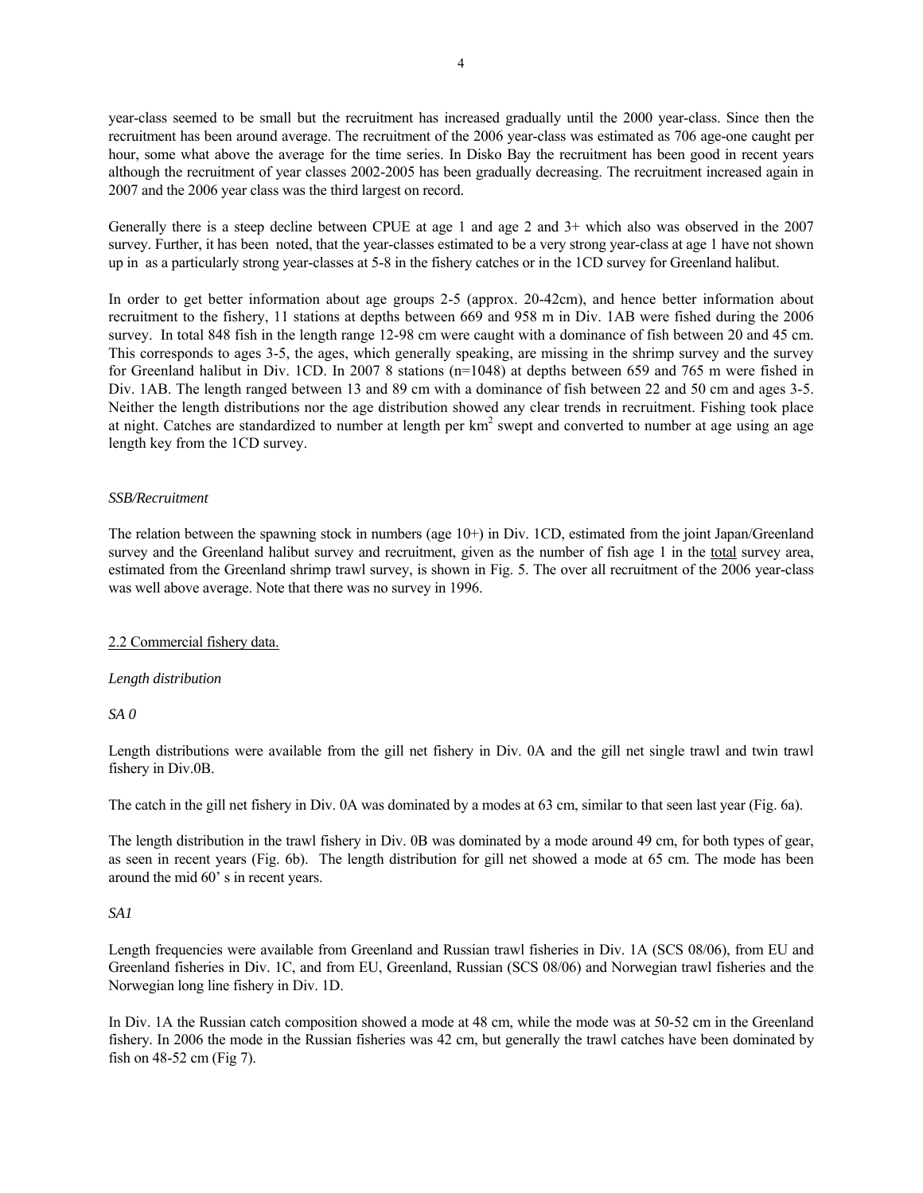year-class seemed to be small but the recruitment has increased gradually until the 2000 year-class. Since then the recruitment has been around average. The recruitment of the 2006 year-class was estimated as 706 age-one caught per hour, some what above the average for the time series. In Disko Bay the recruitment has been good in recent years although the recruitment of year classes 2002-2005 has been gradually decreasing. The recruitment increased again in 2007 and the 2006 year class was the third largest on record.

Generally there is a steep decline between CPUE at age 1 and age 2 and 3+ which also was observed in the 2007 survey. Further, it has been noted, that the year-classes estimated to be a very strong year-class at age 1 have not shown up in as a particularly strong year-classes at 5-8 in the fishery catches or in the 1CD survey for Greenland halibut.

In order to get better information about age groups 2-5 (approx. 20-42cm), and hence better information about recruitment to the fishery, 11 stations at depths between 669 and 958 m in Div. 1AB were fished during the 2006 survey. In total 848 fish in the length range 12-98 cm were caught with a dominance of fish between 20 and 45 cm. This corresponds to ages 3-5, the ages, which generally speaking, are missing in the shrimp survey and the survey for Greenland halibut in Div. 1CD. In 2007 8 stations (n=1048) at depths between 659 and 765 m were fished in Div. 1AB. The length ranged between 13 and 89 cm with a dominance of fish between 22 and 50 cm and ages 3-5. Neither the length distributions nor the age distribution showed any clear trends in recruitment. Fishing took place at night. Catches are standardized to number at length per  $km^2$  swept and converted to number at age using an age length key from the 1CD survey.

## *SSB/Recruitment*

The relation between the spawning stock in numbers (age 10+) in Div. 1CD, estimated from the joint Japan/Greenland survey and the Greenland halibut survey and recruitment, given as the number of fish age 1 in the total survey area, estimated from the Greenland shrimp trawl survey, is shown in Fig. 5. The over all recruitment of the 2006 year-class was well above average. Note that there was no survey in 1996.

# 2.2 Commercial fishery data.

#### *Length distribution*

*SA 0* 

Length distributions were available from the gill net fishery in Div. 0A and the gill net single trawl and twin trawl fishery in Div.0B.

The catch in the gill net fishery in Div. 0A was dominated by a modes at 63 cm, similar to that seen last year (Fig. 6a).

The length distribution in the trawl fishery in Div. 0B was dominated by a mode around 49 cm, for both types of gear, as seen in recent years (Fig. 6b). The length distribution for gill net showed a mode at 65 cm. The mode has been around the mid 60' s in recent years.

#### *SA1*

Length frequencies were available from Greenland and Russian trawl fisheries in Div. 1A (SCS 08/06), from EU and Greenland fisheries in Div. 1C, and from EU, Greenland, Russian (SCS 08/06) and Norwegian trawl fisheries and the Norwegian long line fishery in Div. 1D.

In Div. 1A the Russian catch composition showed a mode at 48 cm, while the mode was at 50-52 cm in the Greenland fishery. In 2006 the mode in the Russian fisheries was 42 cm, but generally the trawl catches have been dominated by fish on 48-52 cm (Fig 7).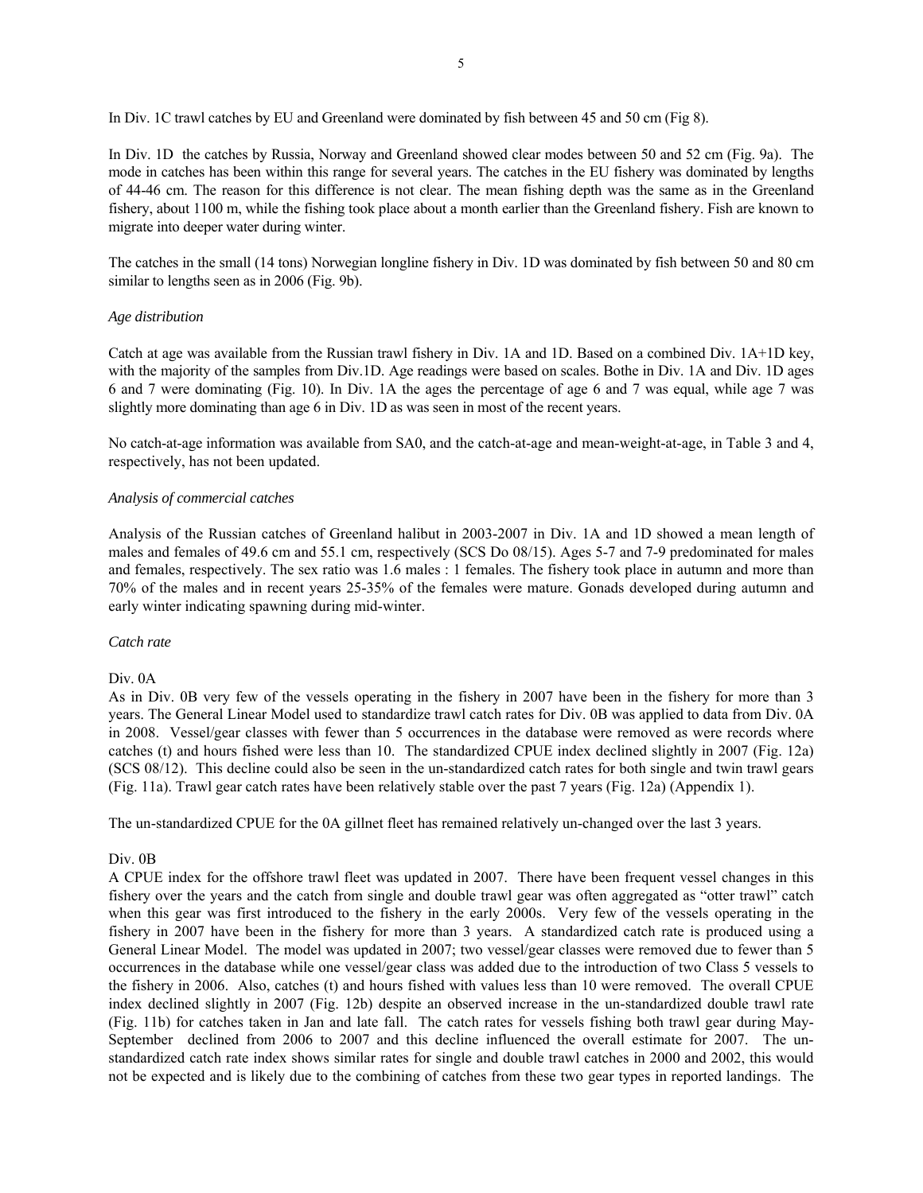In Div. 1C trawl catches by EU and Greenland were dominated by fish between 45 and 50 cm (Fig 8).

In Div. 1D the catches by Russia, Norway and Greenland showed clear modes between 50 and 52 cm (Fig. 9a). The mode in catches has been within this range for several years. The catches in the EU fishery was dominated by lengths of 44-46 cm. The reason for this difference is not clear. The mean fishing depth was the same as in the Greenland fishery, about 1100 m, while the fishing took place about a month earlier than the Greenland fishery. Fish are known to migrate into deeper water during winter.

The catches in the small (14 tons) Norwegian longline fishery in Div. 1D was dominated by fish between 50 and 80 cm similar to lengths seen as in 2006 (Fig. 9b).

## *Age distribution*

Catch at age was available from the Russian trawl fishery in Div. 1A and 1D. Based on a combined Div. 1A+1D key, with the majority of the samples from Div.1D. Age readings were based on scales. Bothe in Div. 1A and Div. 1D ages 6 and 7 were dominating (Fig. 10). In Div. 1A the ages the percentage of age 6 and 7 was equal, while age 7 was slightly more dominating than age 6 in Div. 1D as was seen in most of the recent years.

No catch-at-age information was available from SA0, and the catch-at-age and mean-weight-at-age, in Table 3 and 4, respectively, has not been updated.

## *Analysis of commercial catches*

Analysis of the Russian catches of Greenland halibut in 2003-2007 in Div. 1A and 1D showed a mean length of males and females of 49.6 cm and 55.1 cm, respectively (SCS Do 08/15). Ages 5-7 and 7-9 predominated for males and females, respectively. The sex ratio was 1.6 males : 1 females. The fishery took place in autumn and more than 70% of the males and in recent years 25-35% of the females were mature. Gonads developed during autumn and early winter indicating spawning during mid-winter.

#### *Catch rate*

#### Div. 0A

As in Div. 0B very few of the vessels operating in the fishery in 2007 have been in the fishery for more than 3 years. The General Linear Model used to standardize trawl catch rates for Div. 0B was applied to data from Div. 0A in 2008. Vessel/gear classes with fewer than 5 occurrences in the database were removed as were records where catches (t) and hours fished were less than 10. The standardized CPUE index declined slightly in 2007 (Fig. 12a) (SCS 08/12). This decline could also be seen in the un-standardized catch rates for both single and twin trawl gears (Fig. 11a). Trawl gear catch rates have been relatively stable over the past 7 years (Fig. 12a) (Appendix 1).

The un-standardized CPUE for the 0A gillnet fleet has remained relatively un-changed over the last 3 years.

#### Div. 0B

A CPUE index for the offshore trawl fleet was updated in 2007. There have been frequent vessel changes in this fishery over the years and the catch from single and double trawl gear was often aggregated as "otter trawl" catch when this gear was first introduced to the fishery in the early 2000s. Very few of the vessels operating in the fishery in 2007 have been in the fishery for more than 3 years. A standardized catch rate is produced using a General Linear Model. The model was updated in 2007; two vessel/gear classes were removed due to fewer than 5 occurrences in the database while one vessel/gear class was added due to the introduction of two Class 5 vessels to the fishery in 2006. Also, catches (t) and hours fished with values less than 10 were removed. The overall CPUE index declined slightly in 2007 (Fig. 12b) despite an observed increase in the un-standardized double trawl rate (Fig. 11b) for catches taken in Jan and late fall. The catch rates for vessels fishing both trawl gear during May-September declined from 2006 to 2007 and this decline influenced the overall estimate for 2007. The unstandardized catch rate index shows similar rates for single and double trawl catches in 2000 and 2002, this would not be expected and is likely due to the combining of catches from these two gear types in reported landings. The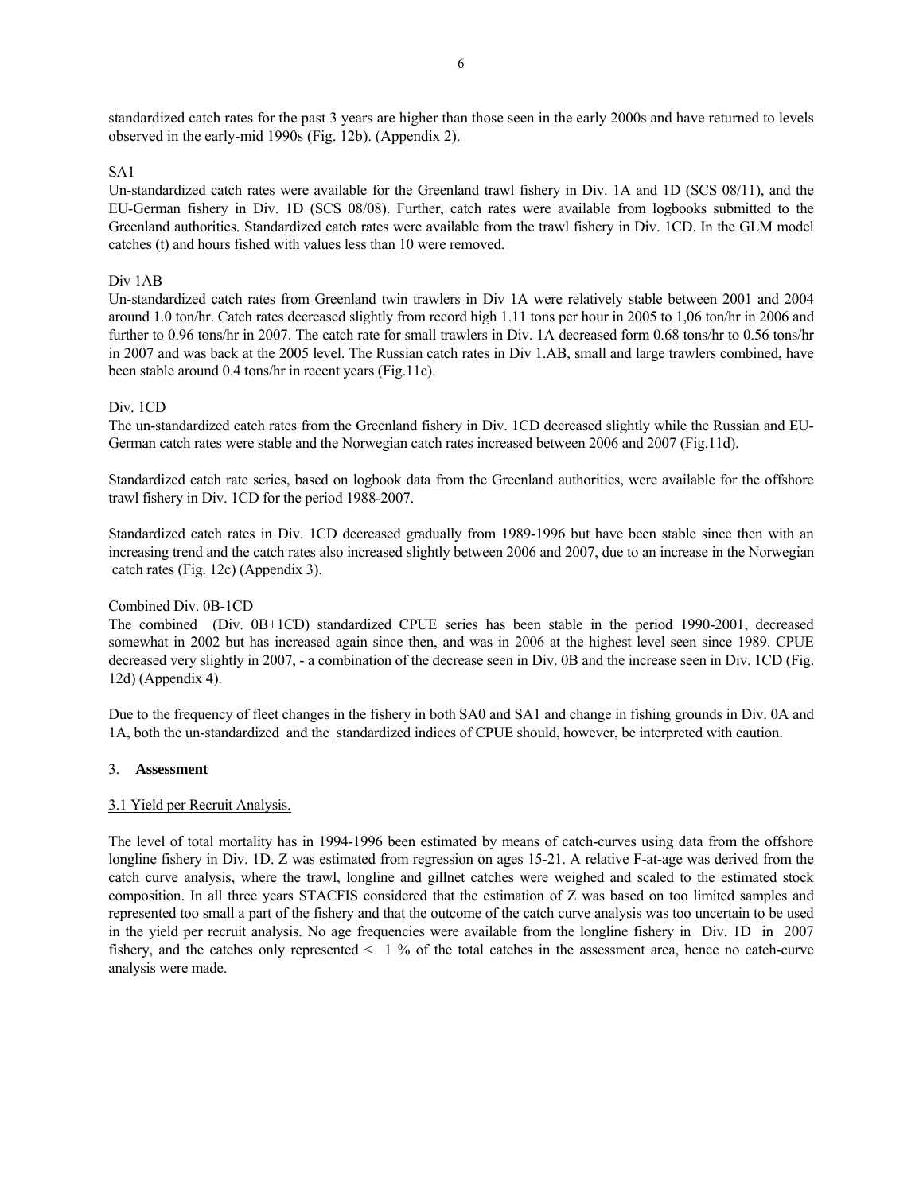standardized catch rates for the past 3 years are higher than those seen in the early 2000s and have returned to levels observed in the early-mid 1990s (Fig. 12b). (Appendix 2).

## SA1

Un-standardized catch rates were available for the Greenland trawl fishery in Div. 1A and 1D (SCS 08/11), and the EU-German fishery in Div. 1D (SCS 08/08). Further, catch rates were available from logbooks submitted to the Greenland authorities. Standardized catch rates were available from the trawl fishery in Div. 1CD. In the GLM model catches (t) and hours fished with values less than 10 were removed.

## Div 1AB

Un-standardized catch rates from Greenland twin trawlers in Div 1A were relatively stable between 2001 and 2004 around 1.0 ton/hr. Catch rates decreased slightly from record high 1.11 tons per hour in 2005 to 1,06 ton/hr in 2006 and further to 0.96 tons/hr in 2007. The catch rate for small trawlers in Div. 1A decreased form 0.68 tons/hr to 0.56 tons/hr in 2007 and was back at the 2005 level. The Russian catch rates in Div 1.AB, small and large trawlers combined, have been stable around 0.4 tons/hr in recent years (Fig.11c).

## Div. 1CD

The un-standardized catch rates from the Greenland fishery in Div. 1CD decreased slightly while the Russian and EU-German catch rates were stable and the Norwegian catch rates increased between 2006 and 2007 (Fig.11d).

Standardized catch rate series, based on logbook data from the Greenland authorities, were available for the offshore trawl fishery in Div. 1CD for the period 1988-2007.

Standardized catch rates in Div. 1CD decreased gradually from 1989-1996 but have been stable since then with an increasing trend and the catch rates also increased slightly between 2006 and 2007, due to an increase in the Norwegian catch rates (Fig. 12c) (Appendix 3).

#### Combined Div. 0B-1CD

The combined (Div. 0B+1CD) standardized CPUE series has been stable in the period 1990-2001, decreased somewhat in 2002 but has increased again since then, and was in 2006 at the highest level seen since 1989. CPUE decreased very slightly in 2007, - a combination of the decrease seen in Div. 0B and the increase seen in Div. 1CD (Fig. 12d) (Appendix 4).

Due to the frequency of fleet changes in the fishery in both SA0 and SA1 and change in fishing grounds in Div. 0A and 1A, both the un-standardized and the standardized indices of CPUE should, however, be interpreted with caution.

#### 3. **Assessment**

# 3.1 Yield per Recruit Analysis.

The level of total mortality has in 1994-1996 been estimated by means of catch-curves using data from the offshore longline fishery in Div. 1D. Z was estimated from regression on ages 15-21. A relative F-at-age was derived from the catch curve analysis, where the trawl, longline and gillnet catches were weighed and scaled to the estimated stock composition. In all three years STACFIS considered that the estimation of Z was based on too limited samples and represented too small a part of the fishery and that the outcome of the catch curve analysis was too uncertain to be used in the yield per recruit analysis. No age frequencies were available from the longline fishery in Div. 1D in 2007 fishery, and the catches only represented  $\leq 1$  % of the total catches in the assessment area, hence no catch-curve analysis were made.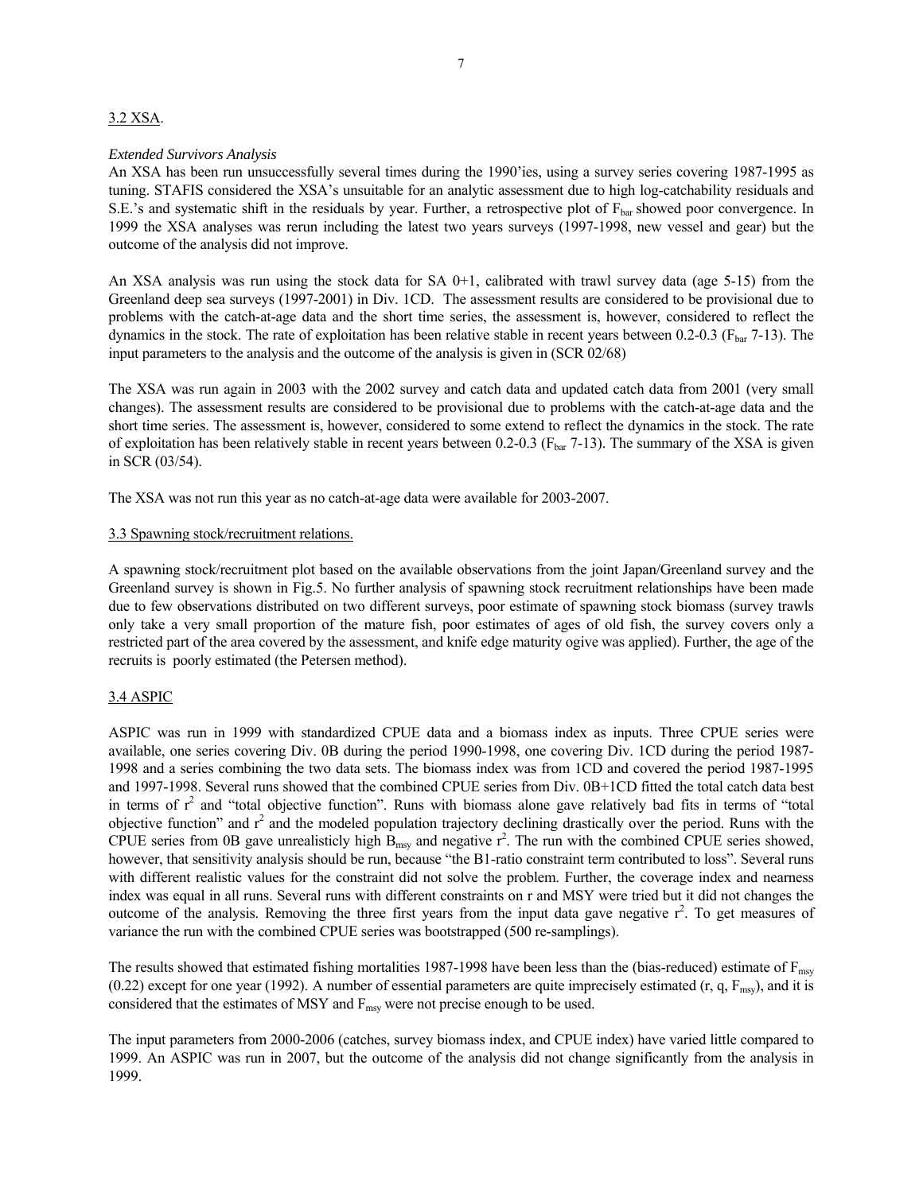## 3.2 XSA.

#### *Extended Survivors Analysis*

An XSA has been run unsuccessfully several times during the 1990'ies, using a survey series covering 1987-1995 as tuning. STAFIS considered the XSA's unsuitable for an analytic assessment due to high log-catchability residuals and S.E.'s and systematic shift in the residuals by year. Further, a retrospective plot of  $F_{bar}$  showed poor convergence. In 1999 the XSA analyses was rerun including the latest two years surveys (1997-1998, new vessel and gear) but the outcome of the analysis did not improve.

An XSA analysis was run using the stock data for SA  $0+1$ , calibrated with trawl survey data (age 5-15) from the Greenland deep sea surveys (1997-2001) in Div. 1CD. The assessment results are considered to be provisional due to problems with the catch-at-age data and the short time series, the assessment is, however, considered to reflect the dynamics in the stock. The rate of exploitation has been relative stable in recent years between  $0.2$ - $0.3$  ( $F_{bar}$  7-13). The input parameters to the analysis and the outcome of the analysis is given in (SCR 02/68)

The XSA was run again in 2003 with the 2002 survey and catch data and updated catch data from 2001 (very small changes). The assessment results are considered to be provisional due to problems with the catch-at-age data and the short time series. The assessment is, however, considered to some extend to reflect the dynamics in the stock. The rate of exploitation has been relatively stable in recent years between 0.2-0.3 ( $F_{bar}$  7-13). The summary of the XSA is given in SCR (03/54).

The XSA was not run this year as no catch-at-age data were available for 2003-2007.

## 3.3 Spawning stock/recruitment relations.

A spawning stock/recruitment plot based on the available observations from the joint Japan/Greenland survey and the Greenland survey is shown in Fig.5. No further analysis of spawning stock recruitment relationships have been made due to few observations distributed on two different surveys, poor estimate of spawning stock biomass (survey trawls only take a very small proportion of the mature fish, poor estimates of ages of old fish, the survey covers only a restricted part of the area covered by the assessment, and knife edge maturity ogive was applied). Further, the age of the recruits is poorly estimated (the Petersen method).

# 3.4 ASPIC

ASPIC was run in 1999 with standardized CPUE data and a biomass index as inputs. Three CPUE series were available, one series covering Div. 0B during the period 1990-1998, one covering Div. 1CD during the period 1987- 1998 and a series combining the two data sets. The biomass index was from 1CD and covered the period 1987-1995 and 1997-1998. Several runs showed that the combined CPUE series from Div. 0B+1CD fitted the total catch data best in terms of  $r^2$  and "total objective function". Runs with biomass alone gave relatively bad fits in terms of "total objective function" and  $r^2$  and the modeled population trajectory declining drastically over the period. Runs with the CPUE series from 0B gave unrealisticly high  $B_{msy}$  and negative  $r^2$ . The run with the combined CPUE series showed, however, that sensitivity analysis should be run, because "the B1-ratio constraint term contributed to loss". Several runs with different realistic values for the constraint did not solve the problem. Further, the coverage index and nearness index was equal in all runs. Several runs with different constraints on r and MSY were tried but it did not changes the outcome of the analysis. Removing the three first years from the input data gave negative  $r^2$ . To get measures of variance the run with the combined CPUE series was bootstrapped (500 re-samplings).

The results showed that estimated fishing mortalities 1987-1998 have been less than the (bias-reduced) estimate of  $F_{\text{msy}}$ (0.22) except for one year (1992). A number of essential parameters are quite imprecisely estimated (r, q,  $F_{\text{msy}}$ ), and it is considered that the estimates of MSY and  $F_{msy}$  were not precise enough to be used.

The input parameters from 2000-2006 (catches, survey biomass index, and CPUE index) have varied little compared to 1999. An ASPIC was run in 2007, but the outcome of the analysis did not change significantly from the analysis in 1999.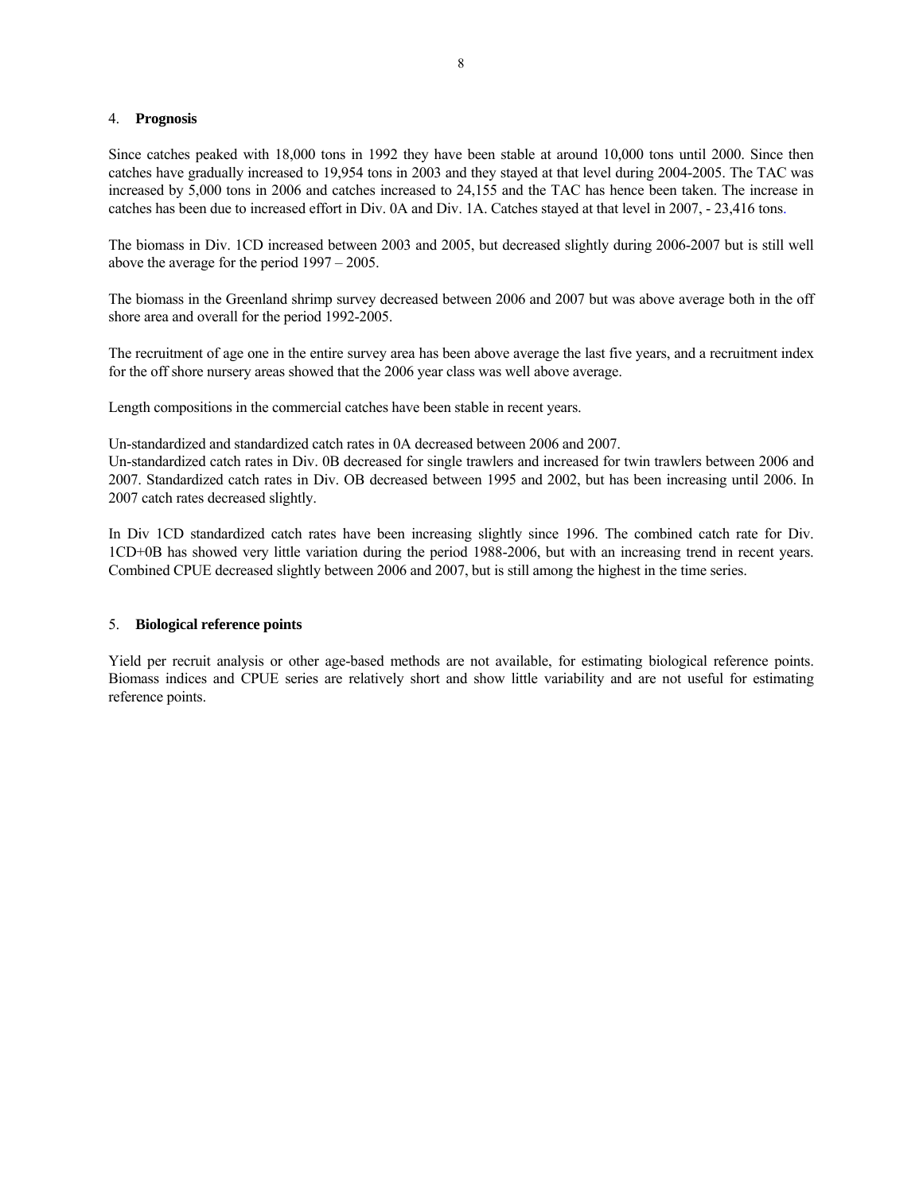#### 4. **Prognosis**

Since catches peaked with 18,000 tons in 1992 they have been stable at around 10,000 tons until 2000. Since then catches have gradually increased to 19,954 tons in 2003 and they stayed at that level during 2004-2005. The TAC was increased by 5,000 tons in 2006 and catches increased to 24,155 and the TAC has hence been taken. The increase in catches has been due to increased effort in Div. 0A and Div. 1A. Catches stayed at that level in 2007, - 23,416 tons.

The biomass in Div. 1CD increased between 2003 and 2005, but decreased slightly during 2006-2007 but is still well above the average for the period 1997 – 2005.

The biomass in the Greenland shrimp survey decreased between 2006 and 2007 but was above average both in the off shore area and overall for the period 1992-2005.

The recruitment of age one in the entire survey area has been above average the last five years, and a recruitment index for the off shore nursery areas showed that the 2006 year class was well above average.

Length compositions in the commercial catches have been stable in recent years.

Un-standardized and standardized catch rates in 0A decreased between 2006 and 2007.

Un-standardized catch rates in Div. 0B decreased for single trawlers and increased for twin trawlers between 2006 and 2007. Standardized catch rates in Div. OB decreased between 1995 and 2002, but has been increasing until 2006. In 2007 catch rates decreased slightly.

In Div 1CD standardized catch rates have been increasing slightly since 1996. The combined catch rate for Div. 1CD+0B has showed very little variation during the period 1988-2006, but with an increasing trend in recent years. Combined CPUE decreased slightly between 2006 and 2007, but is still among the highest in the time series.

#### 5. **Biological reference points**

Yield per recruit analysis or other age-based methods are not available, for estimating biological reference points. Biomass indices and CPUE series are relatively short and show little variability and are not useful for estimating reference points.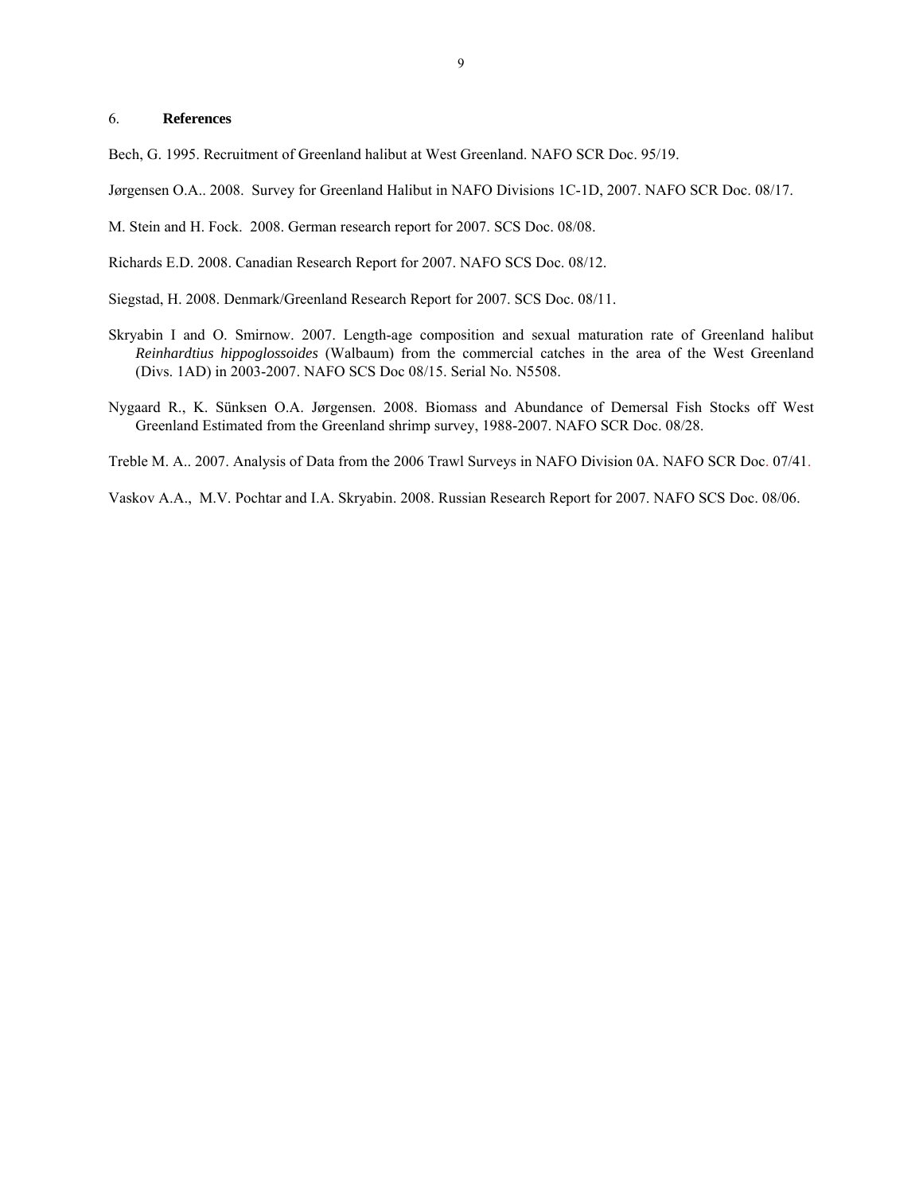#### 6. **References**

Bech, G. 1995. Recruitment of Greenland halibut at West Greenland. NAFO SCR Doc. 95/19.

Jørgensen O.A.. 2008. Survey for Greenland Halibut in NAFO Divisions 1C-1D, 2007. NAFO SCR Doc. 08/17.

M. Stein and H. Fock. 2008. German research report for 2007. SCS Doc. 08/08.

Richards E.D. 2008. Canadian Research Report for 2007. NAFO SCS Doc. 08/12.

Siegstad, H. 2008. Denmark/Greenland Research Report for 2007. SCS Doc. 08/11.

- Skryabin I and O. Smirnow. 2007. Length-age composition and sexual maturation rate of Greenland halibut *Reinhardtius hippoglossoides* (Walbaum) from the commercial catches in the area of the West Greenland (Divs. 1AD) in 2003-2007. NAFO SCS Doc 08/15. Serial No. N5508.
- Nygaard R., K. Sünksen O.A. Jørgensen. 2008. Biomass and Abundance of Demersal Fish Stocks off West Greenland Estimated from the Greenland shrimp survey, 1988-2007. NAFO SCR Doc. 08/28.

Treble M. A.. 2007. Analysis of Data from the 2006 Trawl Surveys in NAFO Division 0A. NAFO SCR Doc. 07/41.

Vaskov A.A., M.V. Pochtar and I.A. Skryabin. 2008. Russian Research Report for 2007. NAFO SCS Doc. 08/06.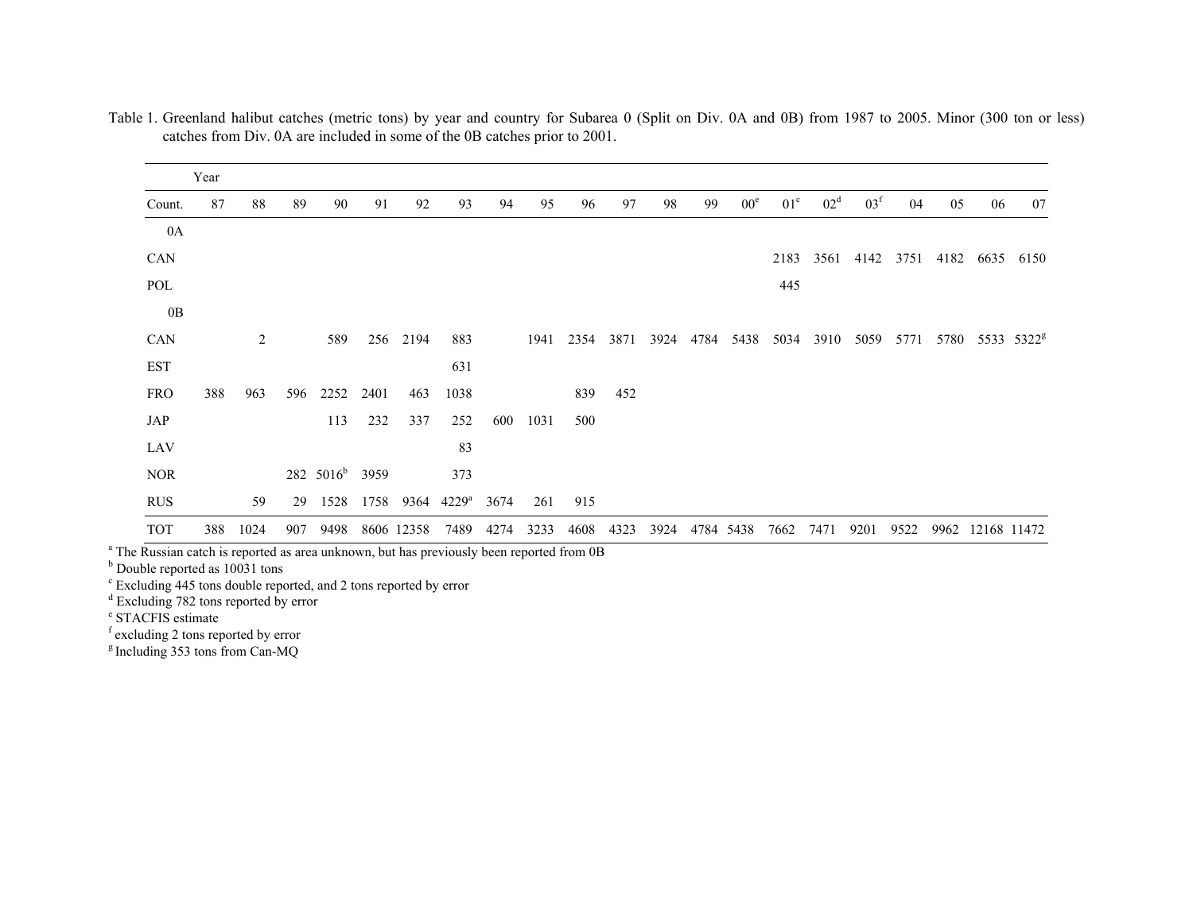|            | Year |                |     |              |      |            |                |      |      |      |      |      |      |                 |                 |                 |                 |      |           |      |                        |
|------------|------|----------------|-----|--------------|------|------------|----------------|------|------|------|------|------|------|-----------------|-----------------|-----------------|-----------------|------|-----------|------|------------------------|
| Count.     | 87   | 88             | 89  | 90           | 91   | 92         | 93             | 94   | 95   | 96   | 97   | 98   | 99   | 00 <sup>e</sup> | 01 <sup>c</sup> | 02 <sup>d</sup> | 03 <sup>f</sup> | 04   | 05        | 06   | 07                     |
| 0A         |      |                |     |              |      |            |                |      |      |      |      |      |      |                 |                 |                 |                 |      |           |      |                        |
| CAN        |      |                |     |              |      |            |                |      |      |      |      |      |      |                 | 2183            | 3561            | 4142            |      | 3751 4182 | 6635 | 6150                   |
| POL        |      |                |     |              |      |            |                |      |      |      |      |      |      |                 | 445             |                 |                 |      |           |      |                        |
| 0B         |      |                |     |              |      |            |                |      |      |      |      |      |      |                 |                 |                 |                 |      |           |      |                        |
| CAN        |      | $\overline{2}$ |     | 589          |      | 256 2194   | 883            |      | 1941 | 2354 | 3871 | 3924 | 4784 | 5438            | 5034            | 3910            | 5059            | 5771 | 5780      |      | 5533 5322 <sup>g</sup> |
| <b>EST</b> |      |                |     |              |      |            | 631            |      |      |      |      |      |      |                 |                 |                 |                 |      |           |      |                        |
| <b>FRO</b> | 388  | 963            | 596 | 2252         | 2401 | 463        | 1038           |      |      | 839  | 452  |      |      |                 |                 |                 |                 |      |           |      |                        |
| JAP        |      |                |     | 113          | 232  | 337        | 252            | 600  | 1031 | 500  |      |      |      |                 |                 |                 |                 |      |           |      |                        |
| LAV        |      |                |     |              |      |            | 83             |      |      |      |      |      |      |                 |                 |                 |                 |      |           |      |                        |
| <b>NOR</b> |      |                |     | 282 $5016^b$ | 3959 |            | 373            |      |      |      |      |      |      |                 |                 |                 |                 |      |           |      |                        |
| <b>RUS</b> |      | 59             | 29  | 1528         | 1758 | 9364       | $4229^{\rm a}$ | 3674 | 261  | 915  |      |      |      |                 |                 |                 |                 |      |           |      |                        |
| <b>TOT</b> | 388  | 1024           | 907 | 9498         |      | 8606 12358 | 7489           | 4274 | 3233 | 4608 | 4323 | 3924 |      | 4784 5438       | 7662            | 7471            | 9201            | 9522 | 9962      |      | 12168 11472            |

Table 1. Greenland halibut catches (metric tons) by year and country for Subarea 0 (Split on Div. 0A and 0B) from 1987 to 2005. Minor (300 ton or less) catches from Div. 0A are included in some of the 0B catches prior to 2001.

<sup>a</sup> The Russian catch is reported as area unknown, but has previously been reported from 0B

<sup>b</sup> Double reported as 10031 tons

c Excluding 445 tons double reported, and 2 tons reported by error

<sup>d</sup> Excluding 782 tons reported by error

e STACFIS estimate

f excluding 2 tons reported by error

<sup>g</sup> Including 353 tons from Can-MQ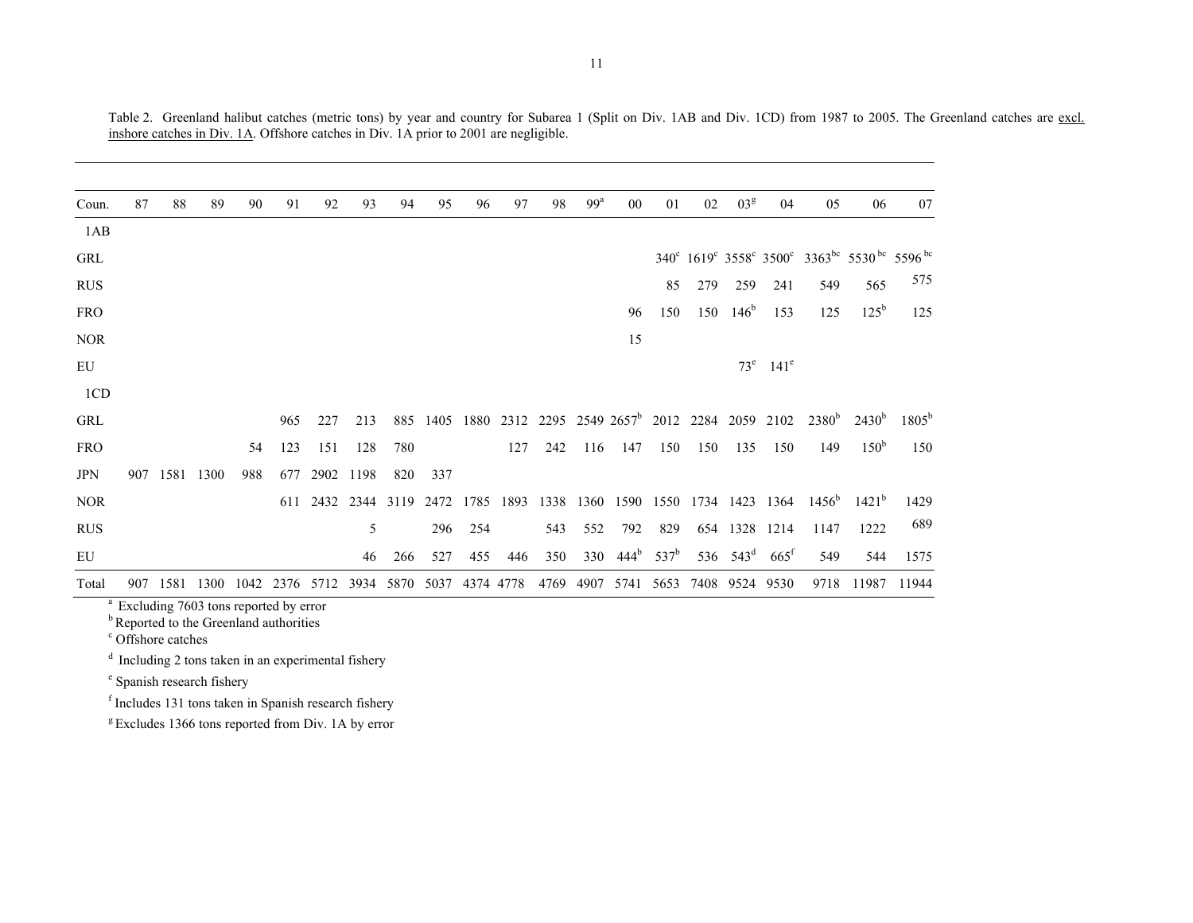| Coun.      | 87  | 88   | 89   | 90  | 91  | 92   | 93                       | 94   | 95   | 96             | 97        | 98   | 99 <sup>a</sup> | 00               | 01      | 02   | 03 <sup>g</sup>  | 04                                                        | 05                | 06                                          | 07             |
|------------|-----|------|------|-----|-----|------|--------------------------|------|------|----------------|-----------|------|-----------------|------------------|---------|------|------------------|-----------------------------------------------------------|-------------------|---------------------------------------------|----------------|
| 1AB        |     |      |      |     |     |      |                          |      |      |                |           |      |                 |                  |         |      |                  |                                                           |                   |                                             |                |
| <b>GRL</b> |     |      |      |     |     |      |                          |      |      |                |           |      |                 |                  |         |      |                  |                                                           |                   | 340° 1619° 3558° 3500° 3363bc 5530bc 5596bc |                |
| <b>RUS</b> |     |      |      |     |     |      |                          |      |      |                |           |      |                 |                  | 85      | 279  | 259              | 241                                                       | 549               | 565                                         | 575            |
| <b>FRO</b> |     |      |      |     |     |      |                          |      |      |                |           |      |                 | 96               | 150     | 150  | 146 <sup>b</sup> | 153                                                       | 125               | $125^{\rm b}$                               | 125            |
| <b>NOR</b> |     |      |      |     |     |      |                          |      |      |                |           |      |                 | 15               |         |      |                  |                                                           |                   |                                             |                |
| EU         |     |      |      |     |     |      |                          |      |      |                |           |      |                 |                  |         |      |                  | $73^e$ 141 <sup>e</sup>                                   |                   |                                             |                |
| 1CD        |     |      |      |     |     |      |                          |      |      |                |           |      |                 |                  |         |      |                  |                                                           |                   |                                             |                |
| <b>GRL</b> |     |      |      |     | 965 | 227  | 213                      | 885  | 1405 |                |           |      |                 |                  |         |      |                  | 1880 2312 2295 2549 2657 <sup>b</sup> 2012 2284 2059 2102 | 2380 <sup>b</sup> | $2430^{\rm b}$                              | $1805^{\rm b}$ |
| <b>FRO</b> |     |      |      | 54  | 123 | 151  | 128                      | 780  |      |                | 127       | 242  | 116             | 147              | 150     | 150  | 135              | 150                                                       | 149               | 150 <sup>b</sup>                            | 150            |
| <b>JPN</b> | 907 | 1581 | 1300 | 988 | 677 | 2902 | 1198                     | 820  | 337  |                |           |      |                 |                  |         |      |                  |                                                           |                   |                                             |                |
| <b>NOR</b> |     |      |      |     |     |      | 611 2432 2344 3119       |      | 2472 |                | 1785 1893 | 1338 |                 |                  |         |      |                  | 1360 1590 1550 1734 1423 1364                             | $1456^{\rm b}$    | $1421^b$                                    | 1429           |
| <b>RUS</b> |     |      |      |     |     |      | 5                        |      | 296  | 254            |           | 543  | 552             | 792              | 829     | 654  | 1328             | 1214                                                      | 1147              | 1222                                        | 689            |
| EU         |     |      |      |     |     |      | 46                       | 266  | 527  | 455            | 446       | 350  | 330             | 444 <sup>b</sup> | $537^b$ |      | 536 $543^d$      | $665^{\rm t}$                                             | 549               | 544                                         | 1575           |
| Total      | 907 | 1581 |      |     |     |      | 1300 1042 2376 5712 3934 | 5870 |      | 5037 4374 4778 |           | 4769 | 4907            | 5741             | 5653    | 7408 | 9524             | 9530                                                      | 9718              | 11987                                       | 11944          |

Table 2. Greenland halibut catches (metric tons) by year and country for Subarea 1 (Split on Div. 1AB and Div. 1CD) from 1987 to 2005. The Greenland catches are excl. inshore catches in Div. 1A. Offshore catches in Div. 1A prior to 2001 are negligible.

c Offshore catches

 $d$  Including 2 tons taken in an experimental fishery

e Spanish research fishery

f Includes 131 tons taken in Spanish research fishery

<sup>g</sup> Excludes 1366 tons reported from Div. 1A by error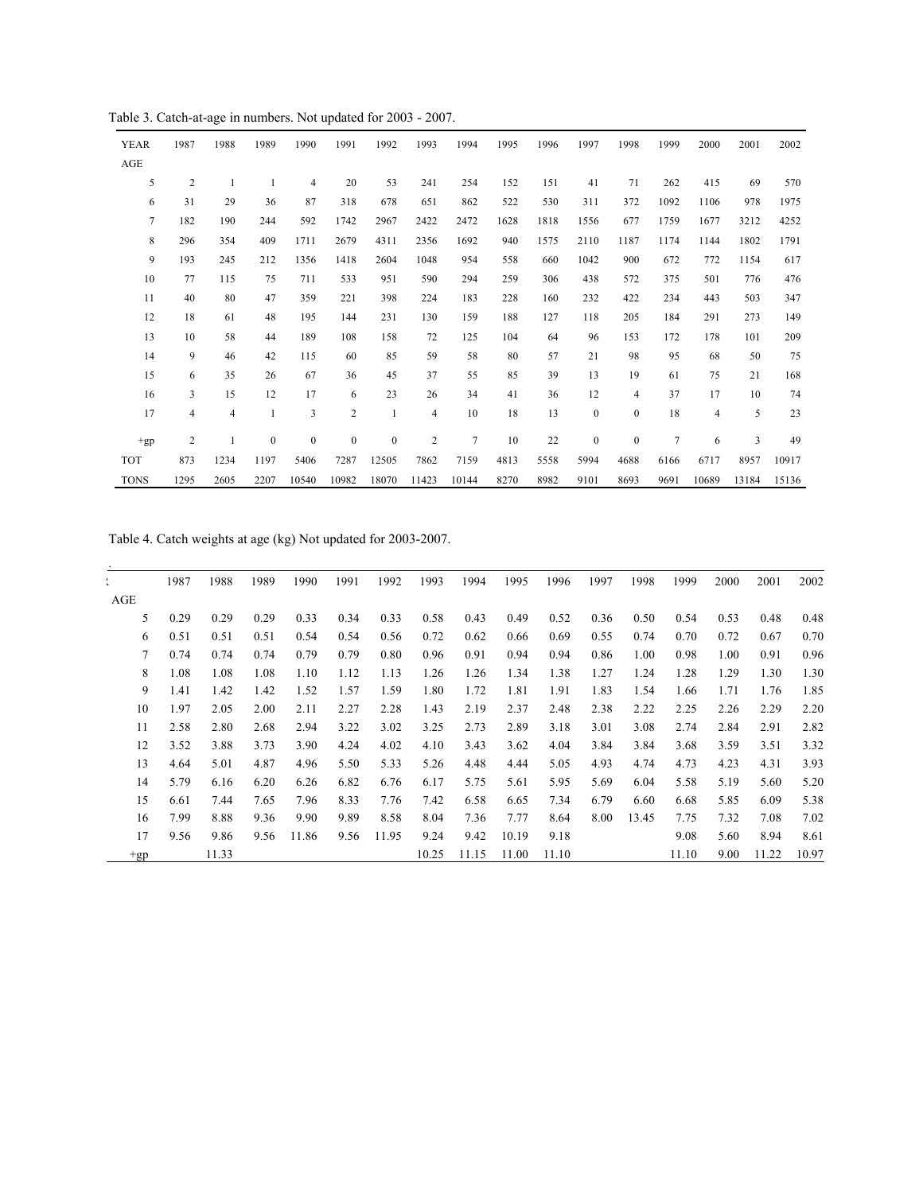Table 3. Catch-at-age in numbers. Not updated for 2003 - 2007.

| <b>YEAR</b>    | 1987             | 1988 | 1989             | 1990             | 1991             | 1992             | 1993           | 1994           | 1995 | 1996 | 1997             | 1998             | 1999           | 2000                    | 2001  | 2002  |
|----------------|------------------|------|------------------|------------------|------------------|------------------|----------------|----------------|------|------|------------------|------------------|----------------|-------------------------|-------|-------|
| AGE            |                  |      |                  |                  |                  |                  |                |                |      |      |                  |                  |                |                         |       |       |
| 5              | $\boldsymbol{2}$ | 1    |                  | 4                | 20               | 53               | 241            | 254            | 152  | 151  | 41               | 71               | 262            | 415                     | 69    | 570   |
| 6              | 31               | 29   | 36               | 87               | 318              | 678              | 651            | 862            | 522  | 530  | 311              | 372              | 1092           | 1106                    | 978   | 1975  |
| $\overline{7}$ | 182              | 190  | 244              | 592              | 1742             | 2967             | 2422           | 2472           | 1628 | 1818 | 1556             | 677              | 1759           | 1677                    | 3212  | 4252  |
| 8              | 296              | 354  | 409              | 1711             | 2679             | 4311             | 2356           | 1692           | 940  | 1575 | 2110             | 1187             | 1174           | 1144                    | 1802  | 1791  |
| 9              | 193              | 245  | 212              | 1356             | 1418             | 2604             | 1048           | 954            | 558  | 660  | 1042             | 900              | 672            | 772                     | 1154  | 617   |
| 10             | 77               | 115  | 75               | 711              | 533              | 951              | 590            | 294            | 259  | 306  | 438              | 572              | 375            | 501                     | 776   | 476   |
| 11             | 40               | 80   | 47               | 359              | 221              | 398              | 224            | 183            | 228  | 160  | 232              | 422              | 234            | 443                     | 503   | 347   |
| 12             | 18               | 61   | 48               | 195              | 144              | 231              | 130            | 159            | 188  | 127  | 118              | 205              | 184            | 291                     | 273   | 149   |
| 13             | 10               | 58   | 44               | 189              | 108              | 158              | 72             | 125            | 104  | 64   | 96               | 153              | 172            | 178                     | 101   | 209   |
| 14             | 9                | 46   | 42               | 115              | 60               | 85               | 59             | 58             | 80   | 57   | 21               | 98               | 95             | 68                      | 50    | 75    |
| 15             | 6                | 35   | 26               | 67               | 36               | 45               | 37             | 55             | 85   | 39   | 13               | 19               | 61             | 75                      | 21    | 168   |
| 16             | 3                | 15   | 12               | 17               | 6                | 23               | 26             | 34             | 41   | 36   | 12               | $\overline{4}$   | 37             | 17                      | 10    | 74    |
| 17             | $\overline{4}$   | 4    | 1                | 3                | $\overline{c}$   | 1                | 4              | 10             | 18   | 13   | $\bf{0}$         | $\boldsymbol{0}$ | 18             | $\overline{\mathbf{4}}$ | 5     | 23    |
| $+gp$          | 2                | 1    | $\boldsymbol{0}$ | $\boldsymbol{0}$ | $\boldsymbol{0}$ | $\boldsymbol{0}$ | $\overline{2}$ | $\overline{7}$ | 10   | 22   | $\boldsymbol{0}$ | $\boldsymbol{0}$ | $\overline{7}$ | 6                       | 3     | 49    |
| <b>TOT</b>     | 873              | 1234 | 1197             | 5406             | 7287             | 12505            | 7862           | 7159           | 4813 | 5558 | 5994             | 4688             | 6166           | 6717                    | 8957  | 10917 |
| <b>TONS</b>    | 1295             | 2605 | 2207             | 10540            | 10982            | 18070            | 11423          | 10144          | 8270 | 8982 | 9101             | 8693             | 9691           | 10689                   | 13184 | 15136 |

Table 4. Catch weights at age (kg) Not updated for 2003-2007.

|       | 1987 | 1988  | 1989 | 1990  | 1991 | 1992  | 1993  | 1994  | 1995  | 1996  | 1997 | 1998  | 1999  | 2000 | 2001  | 2002  |
|-------|------|-------|------|-------|------|-------|-------|-------|-------|-------|------|-------|-------|------|-------|-------|
| AGE   |      |       |      |       |      |       |       |       |       |       |      |       |       |      |       |       |
| 5     | 0.29 | 0.29  | 0.29 | 0.33  | 0.34 | 0.33  | 0.58  | 0.43  | 0.49  | 0.52  | 0.36 | 0.50  | 0.54  | 0.53 | 0.48  | 0.48  |
| 6     | 0.51 | 0.51  | 0.51 | 0.54  | 0.54 | 0.56  | 0.72  | 0.62  | 0.66  | 0.69  | 0.55 | 0.74  | 0.70  | 0.72 | 0.67  | 0.70  |
| 7     | 0.74 | 0.74  | 0.74 | 0.79  | 0.79 | 0.80  | 0.96  | 0.91  | 0.94  | 0.94  | 0.86 | 1.00  | 0.98  | 1.00 | 0.91  | 0.96  |
| 8     | 1.08 | 1.08  | 1.08 | 1.10  | 1.12 | 1.13  | 1.26  | 1.26  | 1.34  | 1.38  | 1.27 | 1.24  | 1.28  | 1.29 | 1.30  | 1.30  |
| 9     | 1.41 | 1.42  | 1.42 | 1.52  | 1.57 | 1.59  | 1.80  | 1.72  | 1.81  | 1.91  | 1.83 | 1.54  | 1.66  | 1.71 | 1.76  | 1.85  |
| 10    | 1.97 | 2.05  | 2.00 | 2.11  | 2.27 | 2.28  | 1.43  | 2.19  | 2.37  | 2.48  | 2.38 | 2.22  | 2.25  | 2.26 | 2.29  | 2.20  |
| 11    | 2.58 | 2.80  | 2.68 | 2.94  | 3.22 | 3.02  | 3.25  | 2.73  | 2.89  | 3.18  | 3.01 | 3.08  | 2.74  | 2.84 | 2.91  | 2.82  |
| 12    | 3.52 | 3.88  | 3.73 | 3.90  | 4.24 | 4.02  | 4.10  | 3.43  | 3.62  | 4.04  | 3.84 | 3.84  | 3.68  | 3.59 | 3.51  | 3.32  |
| 13    | 4.64 | 5.01  | 4.87 | 4.96  | 5.50 | 5.33  | 5.26  | 4.48  | 4.44  | 5.05  | 4.93 | 4.74  | 4.73  | 4.23 | 4.31  | 3.93  |
| 14    | 5.79 | 6.16  | 6.20 | 6.26  | 6.82 | 6.76  | 6.17  | 5.75  | 5.61  | 5.95  | 5.69 | 6.04  | 5.58  | 5.19 | 5.60  | 5.20  |
| 15    | 6.61 | 7.44  | 7.65 | 7.96  | 8.33 | 7.76  | 7.42  | 6.58  | 6.65  | 7.34  | 6.79 | 6.60  | 6.68  | 5.85 | 6.09  | 5.38  |
| 16    | 7.99 | 8.88  | 9.36 | 9.90  | 9.89 | 8.58  | 8.04  | 7.36  | 7.77  | 8.64  | 8.00 | 13.45 | 7.75  | 7.32 | 7.08  | 7.02  |
| 17    | 9.56 | 9.86  | 9.56 | 11.86 | 9.56 | 11.95 | 9.24  | 9.42  | 10.19 | 9.18  |      |       | 9.08  | 5.60 | 8.94  | 8.61  |
| $+gp$ |      | 11.33 |      |       |      |       | 10.25 | 11.15 | 11.00 | 11.10 |      |       | 11.10 | 9.00 | 11.22 | 10.97 |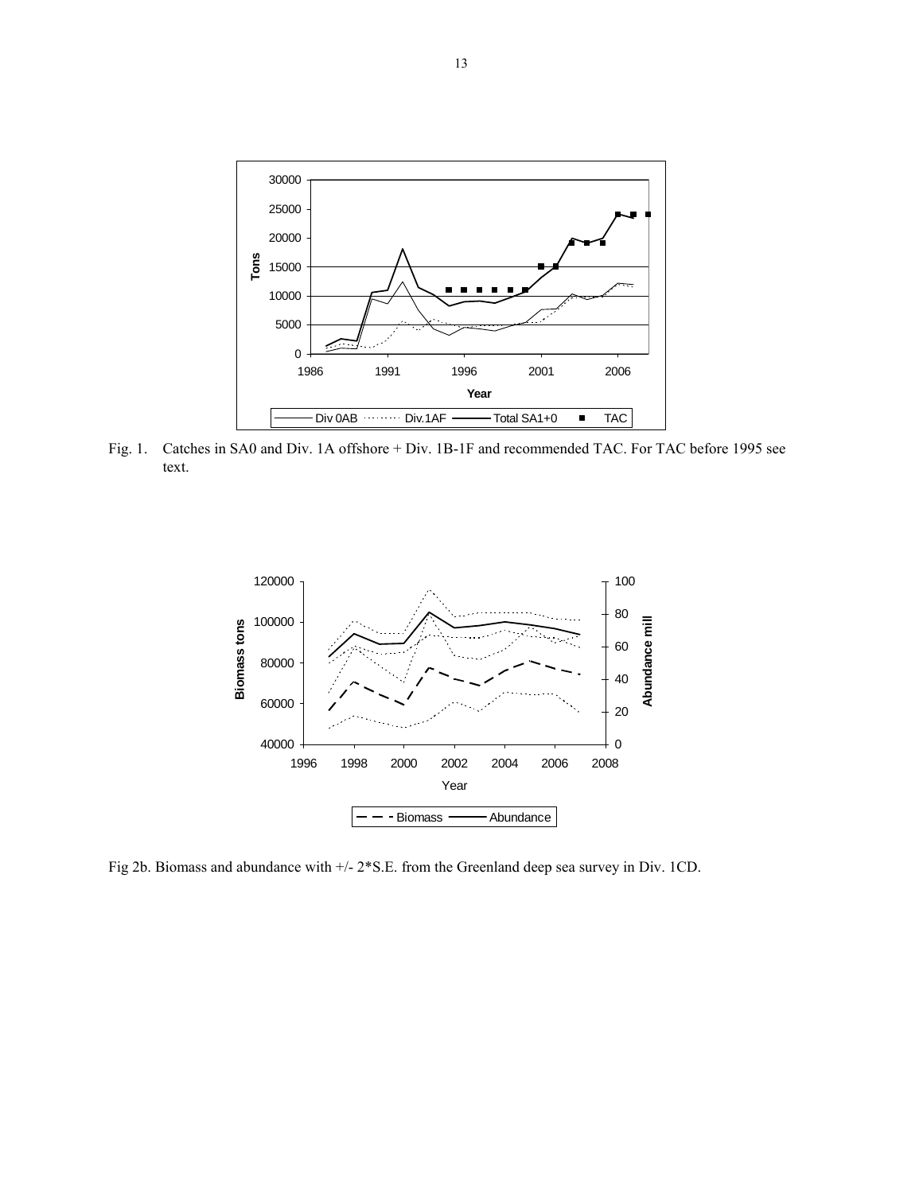

Fig. 1. Catches in SA0 and Div. 1A offshore + Div. 1B-1F and recommended TAC. For TAC before 1995 see text.



Fig 2b. Biomass and abundance with +/- 2\*S.E. from the Greenland deep sea survey in Div. 1CD.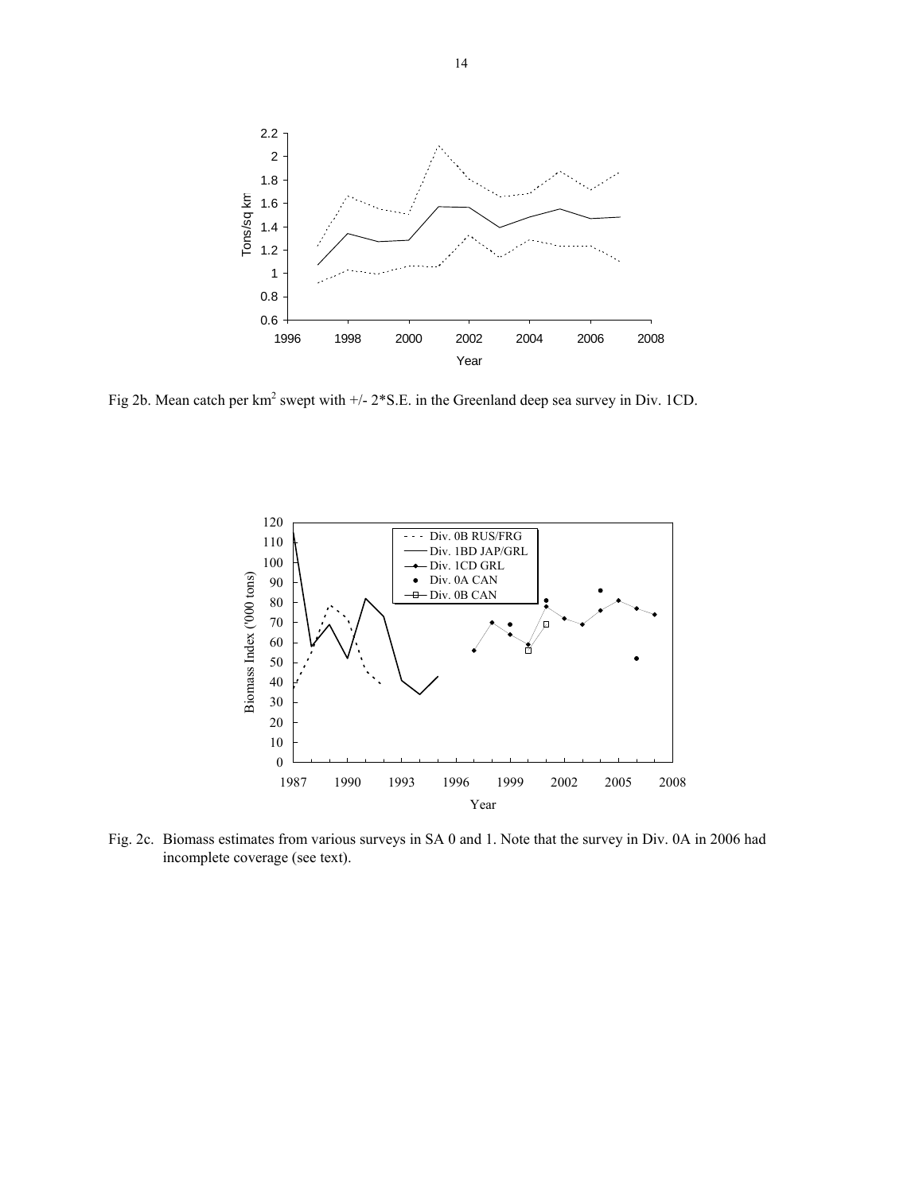

Fig 2b. Mean catch per  $km^2$  swept with  $+/- 2$ <sup>\*</sup>S.E. in the Greenland deep sea survey in Div. 1CD.



Fig. 2c. Biomass estimates from various surveys in SA 0 and 1. Note that the survey in Div. 0A in 2006 had incomplete coverage (see text).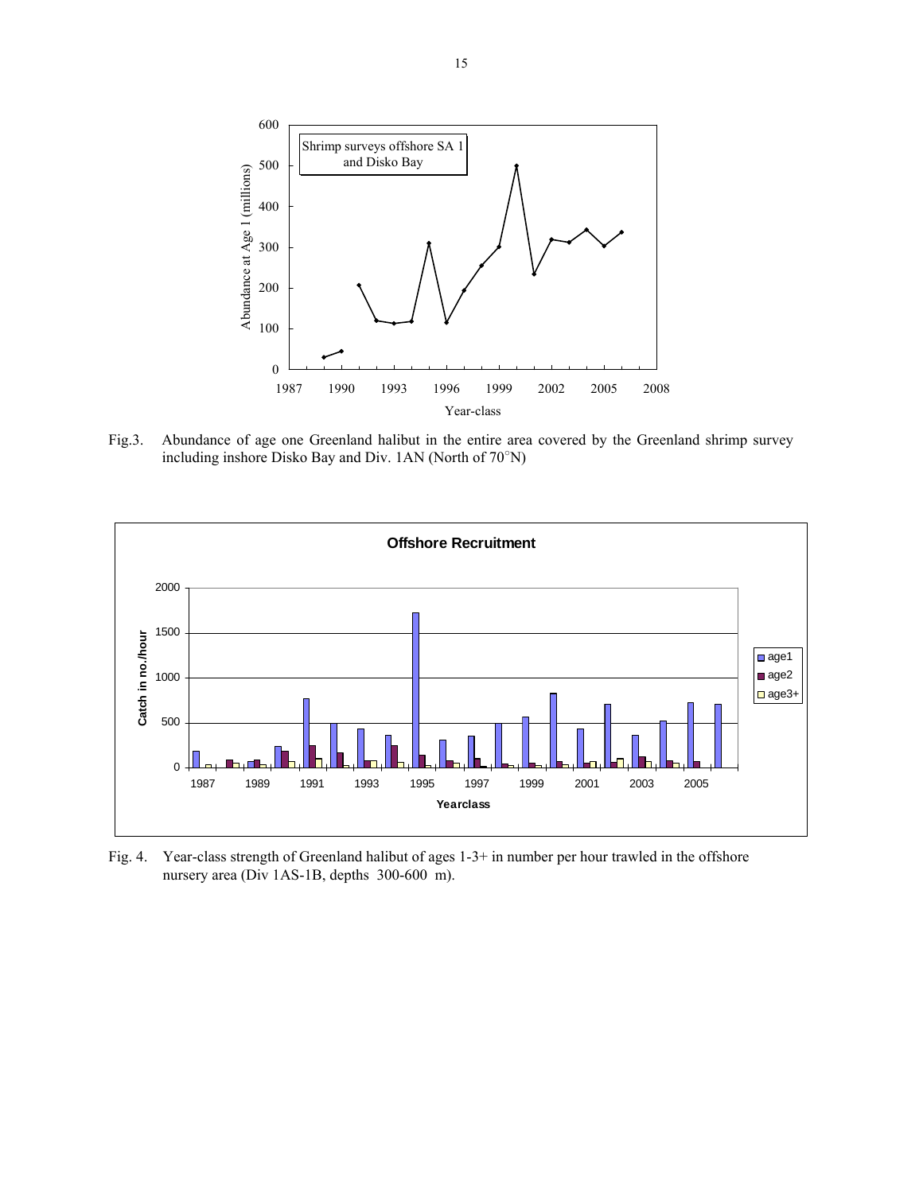

Fig.3. Abundance of age one Greenland halibut in the entire area covered by the Greenland shrimp survey including inshore Disko Bay and Div. 1AN (North of 70○ N)



Fig. 4. Year-class strength of Greenland halibut of ages 1-3+ in number per hour trawled in the offshore nursery area (Div 1AS-1B, depths 300-600 m).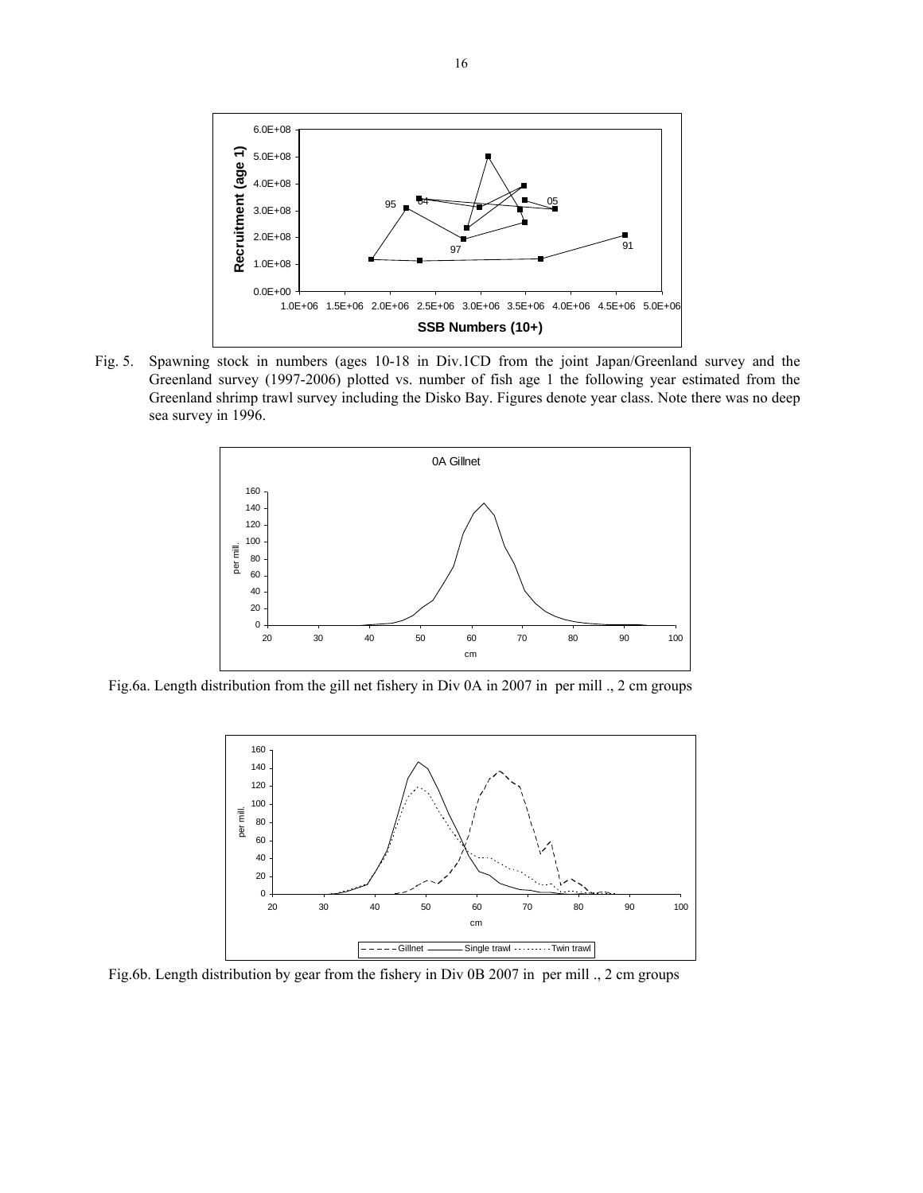

Fig. 5. Spawning stock in numbers (ages 10-18 in Div.1CD from the joint Japan/Greenland survey and the Greenland survey (1997-2006) plotted vs. number of fish age 1 the following year estimated from the Greenland shrimp trawl survey including the Disko Bay. Figures denote year class. Note there was no deep sea survey in 1996.



Fig.6a. Length distribution from the gill net fishery in Div 0A in 2007 in per mill ., 2 cm groups



Fig.6b. Length distribution by gear from the fishery in Div 0B 2007 in per mill ., 2 cm groups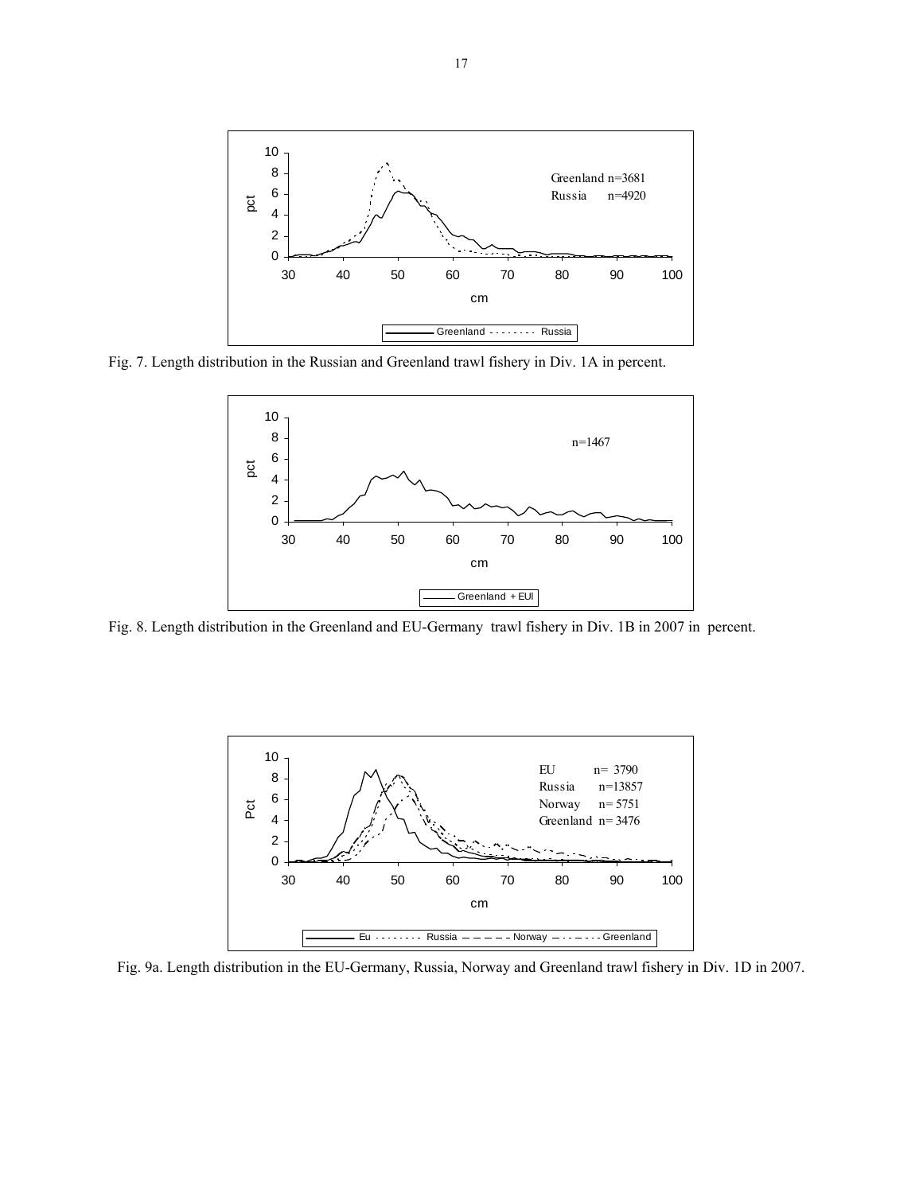

Fig. 7. Length distribution in the Russian and Greenland trawl fishery in Div. 1A in percent.



Fig. 8. Length distribution in the Greenland and EU-Germany trawl fishery in Div. 1B in 2007 in percent.



Fig. 9a. Length distribution in the EU-Germany, Russia, Norway and Greenland trawl fishery in Div. 1D in 2007.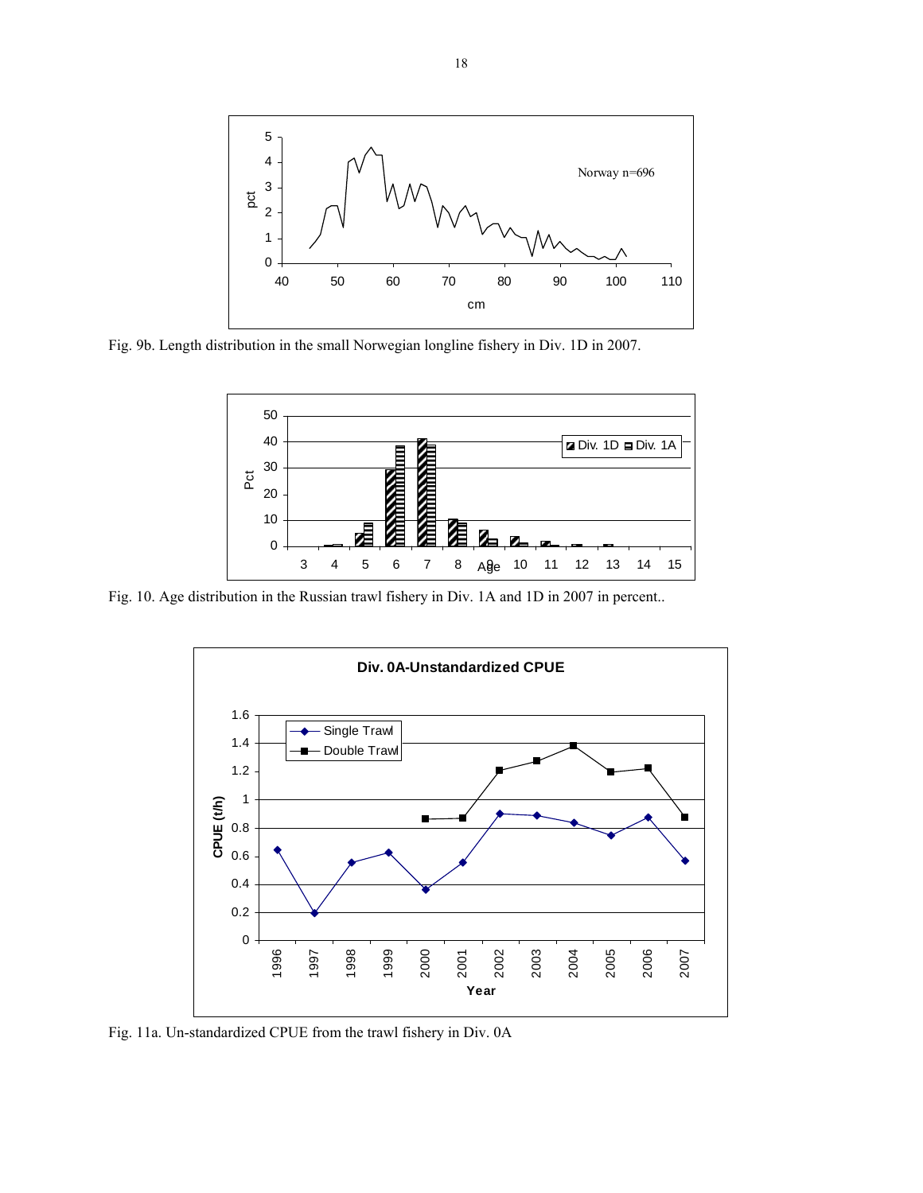

Fig. 9b. Length distribution in the small Norwegian longline fishery in Div. 1D in 2007.



Fig. 10. Age distribution in the Russian trawl fishery in Div. 1A and 1D in 2007 in percent..



Fig. 11a. Un-standardized CPUE from the trawl fishery in Div. 0A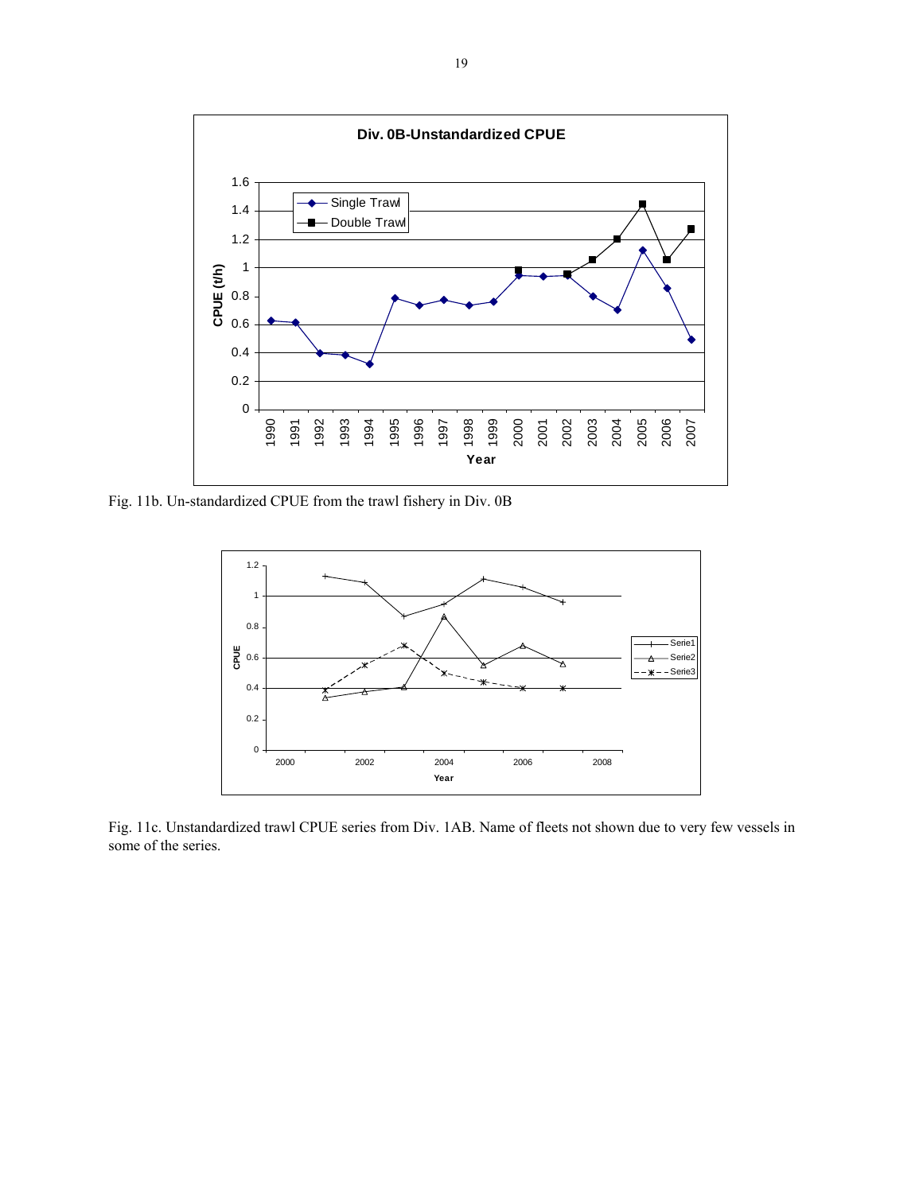

Fig. 11b. Un-standardized CPUE from the trawl fishery in Div. 0B



Fig. 11c. Unstandardized trawl CPUE series from Div. 1AB. Name of fleets not shown due to very few vessels in some of the series.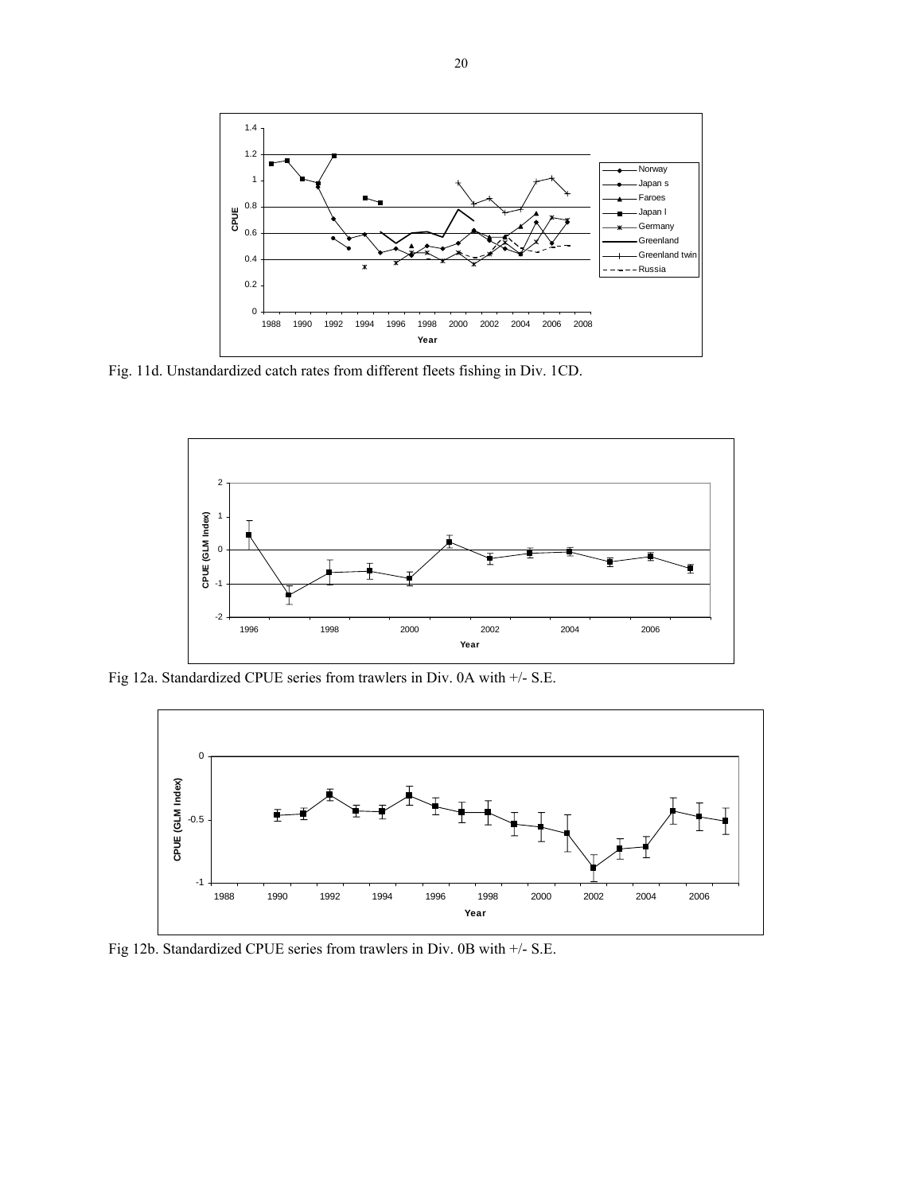

Fig. 11d. Unstandardized catch rates from different fleets fishing in Div. 1CD.



Fig 12a. Standardized CPUE series from trawlers in Div. 0A with +/- S.E.



Fig 12b. Standardized CPUE series from trawlers in Div. 0B with +/- S.E.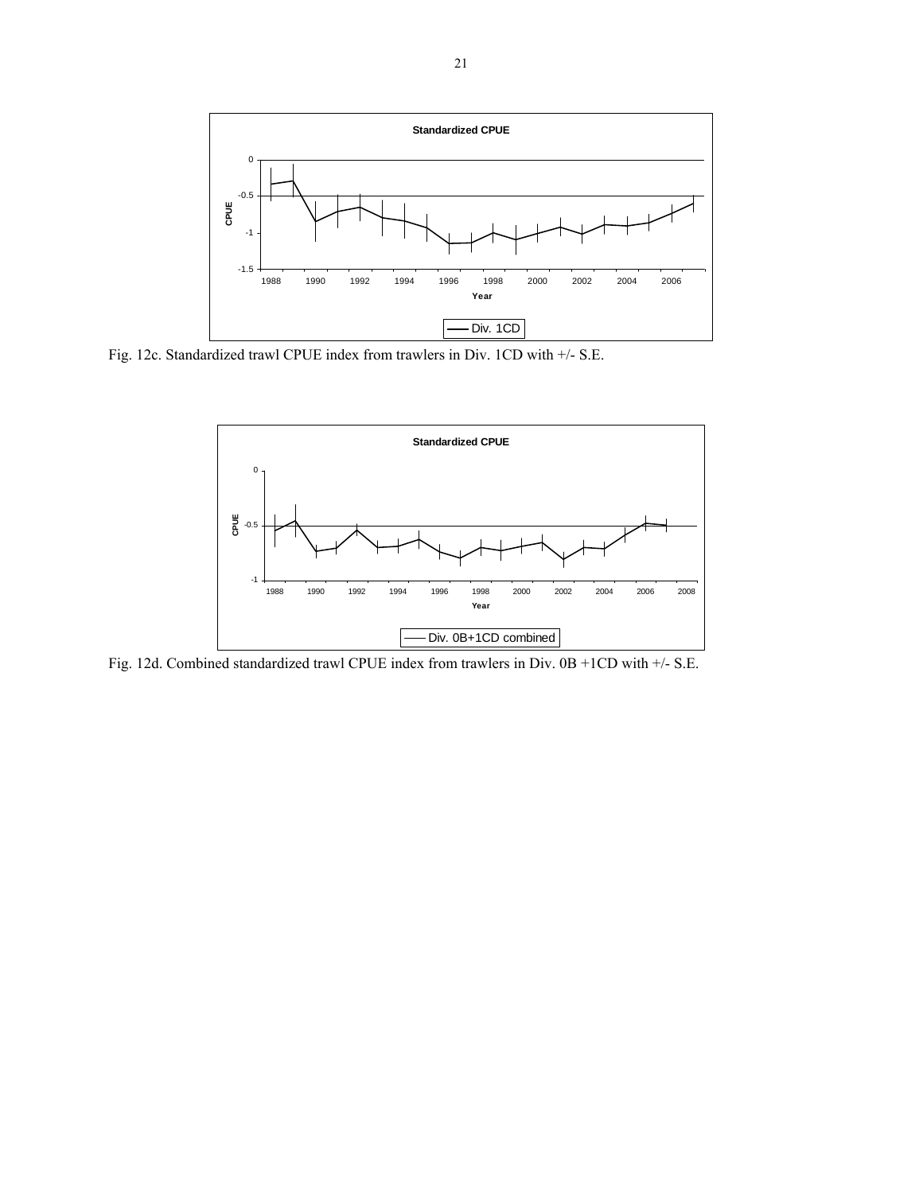

Fig. 12c. Standardized trawl CPUE index from trawlers in Div. 1CD with +/- S.E.



Fig. 12d. Combined standardized trawl CPUE index from trawlers in Div. 0B +1CD with +/- S.E.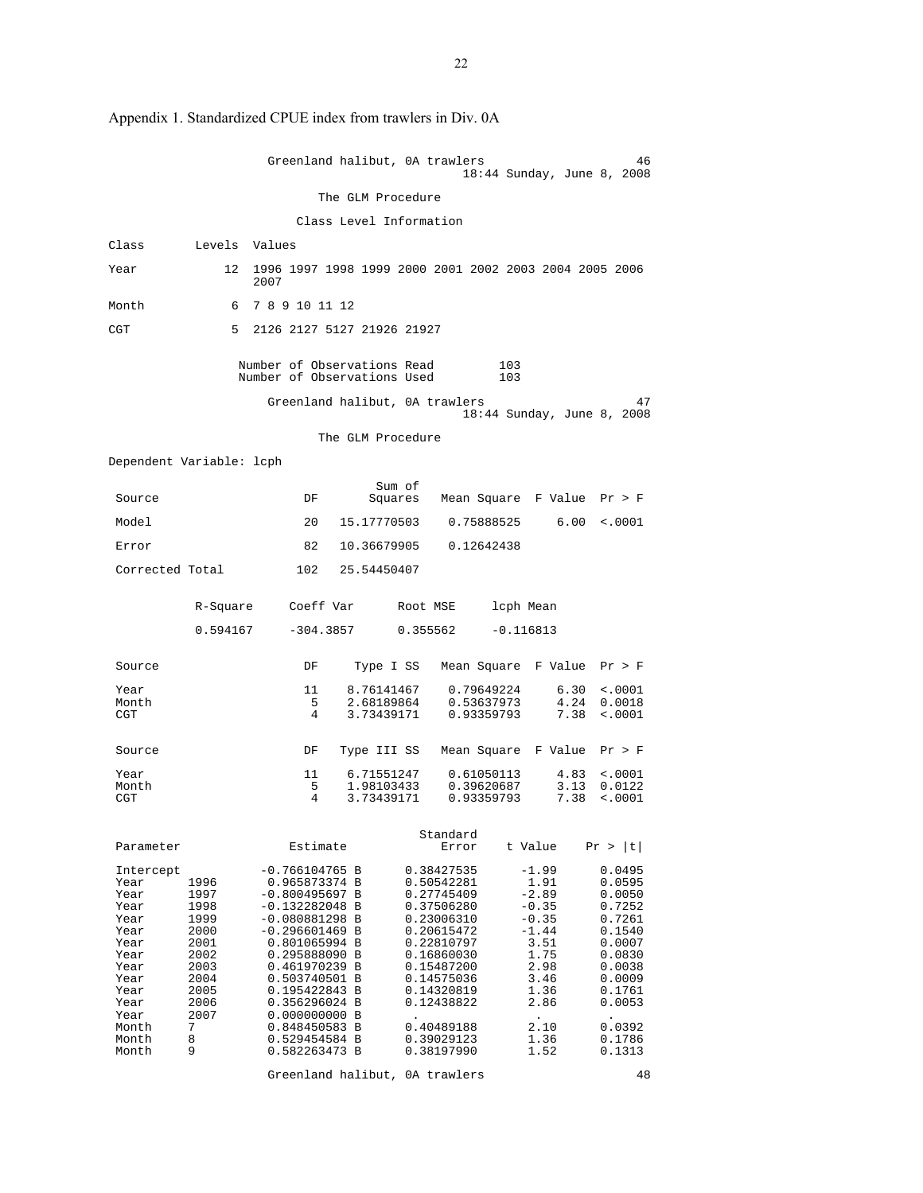|                                                                                                                                      |                                                                                                             | Greenland halibut, OA trawlers                                                                                                                                                                                                                                                             |                                        |                                                                                                                                                                                                                | 18:44 Sunday, June 8, 2008                                                                                                                       | 46                                                                                                                                                 |
|--------------------------------------------------------------------------------------------------------------------------------------|-------------------------------------------------------------------------------------------------------------|--------------------------------------------------------------------------------------------------------------------------------------------------------------------------------------------------------------------------------------------------------------------------------------------|----------------------------------------|----------------------------------------------------------------------------------------------------------------------------------------------------------------------------------------------------------------|--------------------------------------------------------------------------------------------------------------------------------------------------|----------------------------------------------------------------------------------------------------------------------------------------------------|
|                                                                                                                                      |                                                                                                             |                                                                                                                                                                                                                                                                                            | The GLM Procedure                      |                                                                                                                                                                                                                |                                                                                                                                                  |                                                                                                                                                    |
|                                                                                                                                      |                                                                                                             |                                                                                                                                                                                                                                                                                            | Class Level Information                |                                                                                                                                                                                                                |                                                                                                                                                  |                                                                                                                                                    |
| Class                                                                                                                                | Levels Values                                                                                               |                                                                                                                                                                                                                                                                                            |                                        |                                                                                                                                                                                                                |                                                                                                                                                  |                                                                                                                                                    |
| Year                                                                                                                                 |                                                                                                             | 12 1996 1997 1998 1999 2000 2001 2002 2003 2004 2005 2006<br>2007                                                                                                                                                                                                                          |                                        |                                                                                                                                                                                                                |                                                                                                                                                  |                                                                                                                                                    |
| Month                                                                                                                                |                                                                                                             | 6 7 8 9 10 11 12                                                                                                                                                                                                                                                                           |                                        |                                                                                                                                                                                                                |                                                                                                                                                  |                                                                                                                                                    |
| CGT                                                                                                                                  | 5                                                                                                           | 2126 2127 5127 21926 21927                                                                                                                                                                                                                                                                 |                                        |                                                                                                                                                                                                                |                                                                                                                                                  |                                                                                                                                                    |
|                                                                                                                                      |                                                                                                             | Number of Observations Read<br>Number of Observations Used                                                                                                                                                                                                                                 |                                        |                                                                                                                                                                                                                | 103<br>103                                                                                                                                       |                                                                                                                                                    |
|                                                                                                                                      |                                                                                                             | Greenland halibut, OA trawlers                                                                                                                                                                                                                                                             |                                        |                                                                                                                                                                                                                | 18:44 Sunday, June 8, 2008                                                                                                                       | 47                                                                                                                                                 |
|                                                                                                                                      |                                                                                                             |                                                                                                                                                                                                                                                                                            | The GLM Procedure                      |                                                                                                                                                                                                                |                                                                                                                                                  |                                                                                                                                                    |
| Dependent Variable: lcph                                                                                                             |                                                                                                             |                                                                                                                                                                                                                                                                                            |                                        |                                                                                                                                                                                                                |                                                                                                                                                  |                                                                                                                                                    |
| Source                                                                                                                               |                                                                                                             | DF                                                                                                                                                                                                                                                                                         | Sum of<br>Squares                      |                                                                                                                                                                                                                | Mean Square F Value Pr > F                                                                                                                       |                                                                                                                                                    |
| Model                                                                                                                                |                                                                                                             | 20                                                                                                                                                                                                                                                                                         | 15.17770503                            | 0.75888525                                                                                                                                                                                                     | 6.00                                                                                                                                             | $\sim 0001$                                                                                                                                        |
| Error                                                                                                                                |                                                                                                             | 82                                                                                                                                                                                                                                                                                         | 10.36679905                            | 0.12642438                                                                                                                                                                                                     |                                                                                                                                                  |                                                                                                                                                    |
| Corrected Total                                                                                                                      |                                                                                                             | 102 25.54450407                                                                                                                                                                                                                                                                            |                                        |                                                                                                                                                                                                                |                                                                                                                                                  |                                                                                                                                                    |
|                                                                                                                                      | R-Square                                                                                                    | Coeff Var                                                                                                                                                                                                                                                                                  |                                        | Root MSE                                                                                                                                                                                                       | lcph Mean                                                                                                                                        |                                                                                                                                                    |
|                                                                                                                                      | 0.594167                                                                                                    | $-304.3857$                                                                                                                                                                                                                                                                                |                                        | 0.355562                                                                                                                                                                                                       | $-0.116813$                                                                                                                                      |                                                                                                                                                    |
| Source                                                                                                                               |                                                                                                             | DF                                                                                                                                                                                                                                                                                         | Type I SS                              |                                                                                                                                                                                                                | Mean Square F Value Pr > F                                                                                                                       |                                                                                                                                                    |
| Year<br>Month<br>CGT                                                                                                                 |                                                                                                             | 11<br>5<br>4                                                                                                                                                                                                                                                                               | 8.76141467<br>2.68189864<br>3.73439171 | 0.79649224<br>0.53637973<br>0.93359793                                                                                                                                                                         | 6.30<br>4.24<br>7.38                                                                                                                             | $\sim 0001$<br>0.0018<br>$\sim 0001$                                                                                                               |
| Source                                                                                                                               |                                                                                                             | DF                                                                                                                                                                                                                                                                                         | Type III SS                            |                                                                                                                                                                                                                | Mean Square F Value                                                                                                                              | Pr > F                                                                                                                                             |
| Year<br>Month<br>CGT                                                                                                                 |                                                                                                             | 11<br>5<br>4                                                                                                                                                                                                                                                                               | 6.71551247<br>1.98103433<br>3.73439171 | 0.61050113<br>0.39620687<br>0.93359793                                                                                                                                                                         | 4.83<br>3.13<br>7.38                                                                                                                             | $\sim 0001$<br>0.0122<br>< .0001                                                                                                                   |
| Parameter                                                                                                                            |                                                                                                             | Estimate                                                                                                                                                                                                                                                                                   |                                        | Standard<br>Error                                                                                                                                                                                              | t Value                                                                                                                                          | Pr >  t                                                                                                                                            |
| Intercept<br>Year<br>Year<br>Year<br>Year<br>Year<br>Year<br>Year<br>Year<br>Year<br>Year<br>Year<br>Year<br>Month<br>Month<br>Month | 1996<br>1997<br>1998<br>1999<br>2000<br>2001<br>2002<br>2003<br>2004<br>2005<br>2006<br>2007<br>7<br>8<br>9 | $-0.766104765 B$<br>0.965873374 B<br>$-0.800495697 B$<br>$-0.132282048$ B<br>$-0.080881298 B$<br>$-0.296601469$ B<br>0.801065994 B<br>0.295888090 B<br>0.461970239 B<br>0.503740501 B<br>0.195422843 B<br>0.356296024 B<br>0.000000000B<br>0.848450583 B<br>0.529454584 B<br>0.582263473 B |                                        | 0.38427535<br>0.50542281<br>0.27745409<br>0.37506280<br>0.23006310<br>0.20615472<br>0.22810797<br>0.16860030<br>0.15487200<br>0.14575036<br>0.14320819<br>0.12438822<br>0.40489188<br>0.39029123<br>0.38197990 | $-1.99$<br>1.91<br>$-2.89$<br>$-0.35$<br>$-0.35$<br>$-1.44$<br>3.51<br>1.75<br>2.98<br>3.46<br>1.36<br>2.86<br>$\bullet$<br>2.10<br>1.36<br>1.52 | 0.0495<br>0.0595<br>0.0050<br>0.7252<br>0.7261<br>0.1540<br>0.0007<br>0.0830<br>0.0038<br>0.0009<br>0.1761<br>0.0053<br>0.0392<br>0.1786<br>0.1313 |

Appendix 1. Standardized CPUE index from trawlers in Div. 0A

Greenland halibut, 0A trawlers 48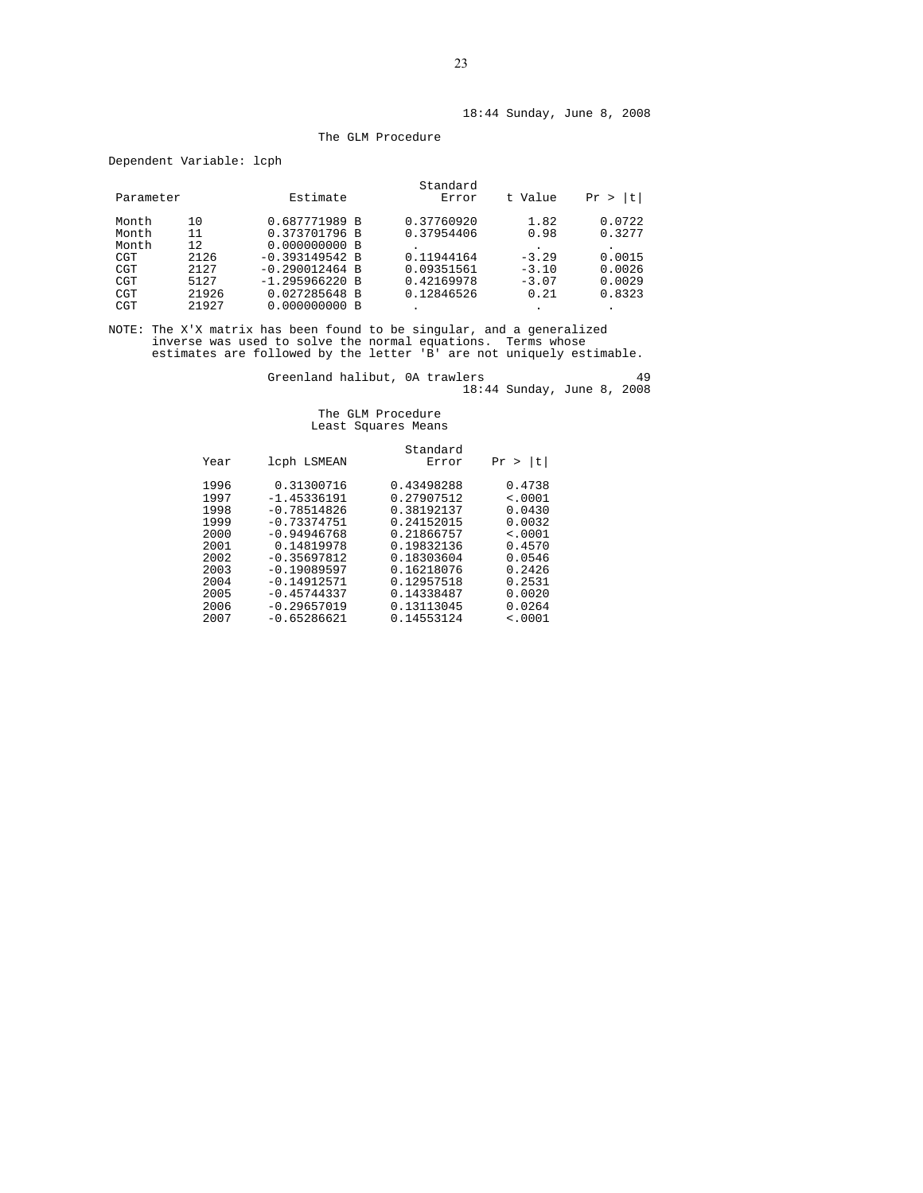#### The GLM Procedure

Dependent Variable: lcph

|           |       |                  | Standard   |         |         |
|-----------|-------|------------------|------------|---------|---------|
| Parameter |       | Estimate         | Error      | t Value | t<br>Pr |
| Month     | 10    | 0.687771989 B    | 0.37760920 | 1.82    | 0.0722  |
| Mont.h    | 11    | 0.373701796 B    | 0.37954406 | 0.98    | 0.3277  |
| Mont.h    | 12    | $0.000000000$ B  |            |         |         |
| CGT       | 2126  | $-0.393149542 B$ | 0.11944164 | $-3.29$ | 0.0015  |
| CGT       | 2127  | $-0.290012464$ B | 0.09351561 | $-3.10$ | 0.0026  |
| CGT       | 5127  | $-1.295966220 B$ | 0.42169978 | $-3.07$ | 0.0029  |
| CGT       | 21926 | 0.027285648 B    | 0.12846526 | 0.21    | 0.8323  |
| CGT       | 21927 | $0.000000000$ B  |            |         |         |

NOTE: The X'X matrix has been found to be singular, and a generalized inverse was used to solve the normal equations. Terms whose estimates are followed by the letter 'B' are not uniquely estimable.

Greenland halibut, 0A trawlers 49 18:44 Sunday, June 8, 2008

|             | Standard   |               |      |
|-------------|------------|---------------|------|
| t <br>Pr    | Error      | lcph LSMEAN   | Year |
| 0.4738      | 0.43498288 | 0.31300716    | 1996 |
| $\leq 0001$ | 0.27907512 | $-1.45336191$ | 1997 |
| 0.0430      | 0.38192137 | $-0.78514826$ | 1998 |
| 0.0032      | 0.24152015 | $-0.73374751$ | 1999 |
| $\leq 0001$ | 0.21866757 | $-0.94946768$ | 2000 |
| 0.4570      | 0.19832136 | 0.14819978    | 2001 |
| 0.0546      | 0.18303604 | $-0.35697812$ | 2002 |
| 0.2426      | 0.16218076 | $-0.19089597$ | 2003 |
| 0.2531      | 0.12957518 | $-0.14912571$ | 2004 |
| 0.0020      | 0.14338487 | $-0.45744337$ | 2005 |
| 0.0264      | 0.13113045 | $-0.29657019$ | 2006 |
| < .0001     | 0.14553124 | $-0.65286621$ | 2007 |
|             |            |               |      |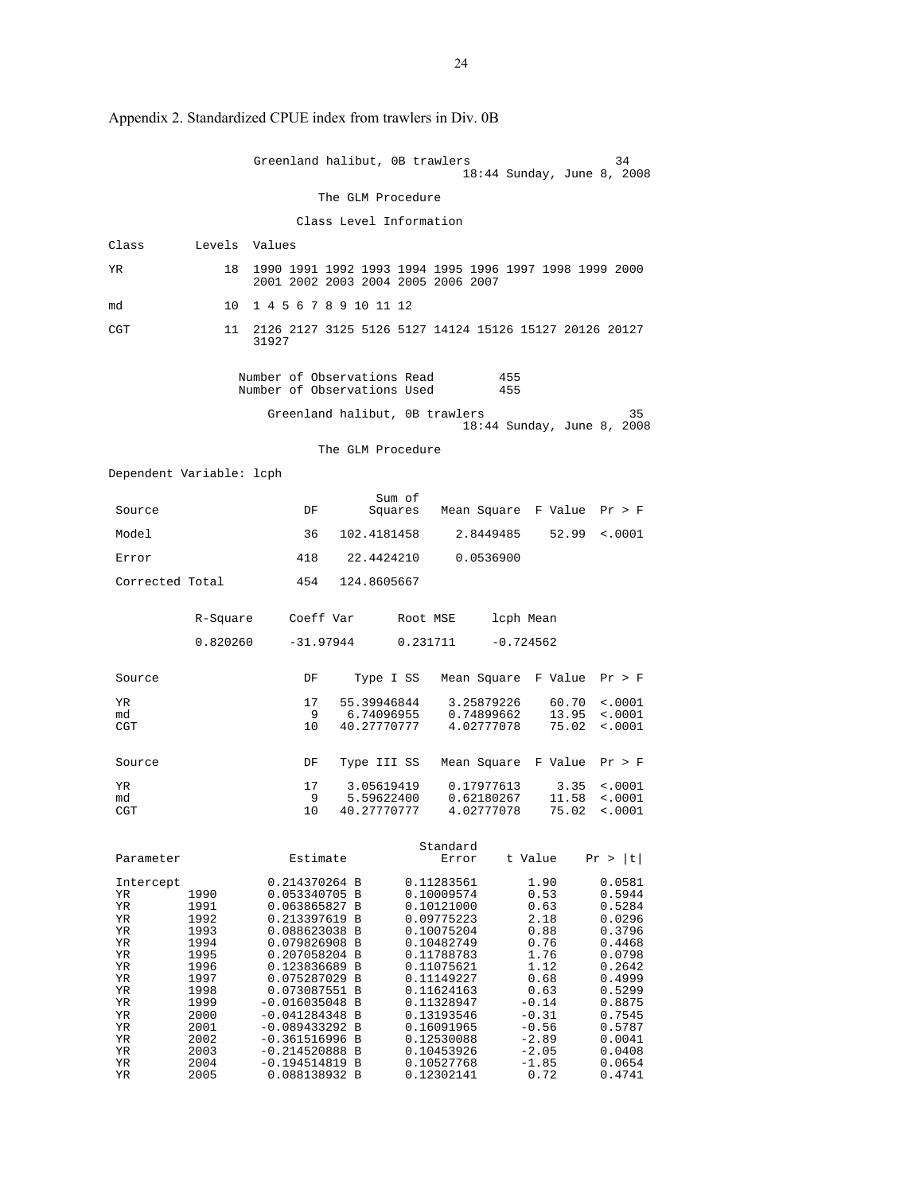|                                                                                                           |                                                                                                                              | Greenland halibut, OB trawlers                                                                                                                                                                                                                                                                                |                                          |                                                                                                                                                                                                                                            |                                        | 18:44 Sunday, June 8, 2008                                                                                                                             | 34                                                                                                                                                                     |
|-----------------------------------------------------------------------------------------------------------|------------------------------------------------------------------------------------------------------------------------------|---------------------------------------------------------------------------------------------------------------------------------------------------------------------------------------------------------------------------------------------------------------------------------------------------------------|------------------------------------------|--------------------------------------------------------------------------------------------------------------------------------------------------------------------------------------------------------------------------------------------|----------------------------------------|--------------------------------------------------------------------------------------------------------------------------------------------------------|------------------------------------------------------------------------------------------------------------------------------------------------------------------------|
|                                                                                                           |                                                                                                                              |                                                                                                                                                                                                                                                                                                               | The GLM Procedure                        |                                                                                                                                                                                                                                            |                                        |                                                                                                                                                        |                                                                                                                                                                        |
|                                                                                                           |                                                                                                                              |                                                                                                                                                                                                                                                                                                               |                                          | Class Level Information                                                                                                                                                                                                                    |                                        |                                                                                                                                                        |                                                                                                                                                                        |
| Class                                                                                                     | Levels Values                                                                                                                |                                                                                                                                                                                                                                                                                                               |                                          |                                                                                                                                                                                                                                            |                                        |                                                                                                                                                        |                                                                                                                                                                        |
| ΥR                                                                                                        | 18                                                                                                                           | 1990 1991 1992 1993 1994 1995 1996 1997 1998 1999 2000<br>2001 2002 2003 2004 2005 2006 2007                                                                                                                                                                                                                  |                                          |                                                                                                                                                                                                                                            |                                        |                                                                                                                                                        |                                                                                                                                                                        |
| md                                                                                                        | 10                                                                                                                           | 1 4 5 6 7 8 9 10 11 12                                                                                                                                                                                                                                                                                        |                                          |                                                                                                                                                                                                                                            |                                        |                                                                                                                                                        |                                                                                                                                                                        |
| CGT                                                                                                       | 11                                                                                                                           | 2126 2127 3125 5126 5127 14124 15126 15127 20126 20127<br>31927                                                                                                                                                                                                                                               |                                          |                                                                                                                                                                                                                                            |                                        |                                                                                                                                                        |                                                                                                                                                                        |
|                                                                                                           |                                                                                                                              | Number of Observations Read<br>Number of Observations Used                                                                                                                                                                                                                                                    |                                          |                                                                                                                                                                                                                                            | 455<br>455                             |                                                                                                                                                        |                                                                                                                                                                        |
|                                                                                                           |                                                                                                                              | Greenland halibut, OB trawlers                                                                                                                                                                                                                                                                                |                                          |                                                                                                                                                                                                                                            |                                        | 18:44 Sunday, June 8, 2008                                                                                                                             | 35                                                                                                                                                                     |
|                                                                                                           |                                                                                                                              |                                                                                                                                                                                                                                                                                                               | The GLM Procedure                        |                                                                                                                                                                                                                                            |                                        |                                                                                                                                                        |                                                                                                                                                                        |
|                                                                                                           | Dependent Variable: lcph                                                                                                     |                                                                                                                                                                                                                                                                                                               |                                          |                                                                                                                                                                                                                                            |                                        |                                                                                                                                                        |                                                                                                                                                                        |
| Source                                                                                                    |                                                                                                                              | DF                                                                                                                                                                                                                                                                                                            | Sum of<br>Squares                        |                                                                                                                                                                                                                                            |                                        | Mean Square F Value Pr > F                                                                                                                             |                                                                                                                                                                        |
| Model                                                                                                     |                                                                                                                              | 36                                                                                                                                                                                                                                                                                                            | 102.4181458                              |                                                                                                                                                                                                                                            | 2.8449485                              | 52.99                                                                                                                                                  | $\sim 0001$                                                                                                                                                            |
| Error                                                                                                     |                                                                                                                              | 418                                                                                                                                                                                                                                                                                                           | 22.4424210                               |                                                                                                                                                                                                                                            | 0.0536900                              |                                                                                                                                                        |                                                                                                                                                                        |
| Corrected Total                                                                                           |                                                                                                                              | 454                                                                                                                                                                                                                                                                                                           | 124.8605667                              |                                                                                                                                                                                                                                            |                                        |                                                                                                                                                        |                                                                                                                                                                        |
|                                                                                                           | R-Square                                                                                                                     | Coeff Var                                                                                                                                                                                                                                                                                                     |                                          | Root MSE                                                                                                                                                                                                                                   | lcph Mean                              |                                                                                                                                                        |                                                                                                                                                                        |
|                                                                                                           | 0.820260                                                                                                                     | -31.97944                                                                                                                                                                                                                                                                                                     |                                          | 0.231711                                                                                                                                                                                                                                   | $-0.724562$                            |                                                                                                                                                        |                                                                                                                                                                        |
| Source                                                                                                    |                                                                                                                              | DF                                                                                                                                                                                                                                                                                                            |                                          | Type I SS Mean Square F Value                                                                                                                                                                                                              |                                        |                                                                                                                                                        | Pr > F                                                                                                                                                                 |
| YR<br>md<br>CGT                                                                                           |                                                                                                                              | 17<br>9<br>10                                                                                                                                                                                                                                                                                                 | 55.39946844<br>6.74096955<br>40.27770777 |                                                                                                                                                                                                                                            | 3.25879226<br>0.74899662<br>4.02777078 | 60.70<br>13.95<br>75.02                                                                                                                                | $\frac{1}{2}$ .0001<br>< .0001<br>< .0001                                                                                                                              |
| Source                                                                                                    |                                                                                                                              | DF                                                                                                                                                                                                                                                                                                            | Type III SS                              |                                                                                                                                                                                                                                            |                                        | Mean Square  F Value                                                                                                                                   | Pr > F                                                                                                                                                                 |
| ΥR<br>md<br>CGT                                                                                           |                                                                                                                              | 17<br>9<br>10                                                                                                                                                                                                                                                                                                 | 3.05619419<br>5.59622400<br>40.27770777  |                                                                                                                                                                                                                                            | 0.17977613<br>0.62180267<br>4.02777078 | 3.35<br>11.58                                                                                                                                          | $\sim 0001$<br>< .0001<br>$75.02 \div 0001$                                                                                                                            |
| Parameter                                                                                                 |                                                                                                                              | Estimate                                                                                                                                                                                                                                                                                                      |                                          | Standard<br>Error                                                                                                                                                                                                                          |                                        | t Value                                                                                                                                                | Pr >  t                                                                                                                                                                |
| Intercept<br>ΥR<br>ΥR<br>ΥR<br>ΥR<br>ΥR<br>ΥR<br>ΥR<br>ΥR<br>ΥR<br>ΥR<br>ΥR<br>ΥR<br>ΥR<br>ΥR<br>ΥR<br>ΥR | 1990<br>1991<br>1992<br>1993<br>1994<br>1995<br>1996<br>1997<br>1998<br>1999<br>2000<br>2001<br>2002<br>2003<br>2004<br>2005 | 0.214370264 B<br>0.053340705 B<br>0.063865827 B<br>0.213397619 B<br>0.088623038 B<br>0.079826908 B<br>0.207058204 B<br>0.123836689 B<br>0.075287029 B<br>0.073087551 B<br>-0.016035048 B<br>$-0.041284348$ B<br>$-0.089433292 B$<br>$-0.361516996$ B<br>$-0.214520888$ B<br>$-0.194514819$ B<br>0.088138932 B |                                          | 0.11283561<br>0.10009574<br>0.10121000<br>0.09775223<br>0.10075204<br>0.10482749<br>0.11788783<br>0.11075621<br>0.11149227<br>0.11624163<br>0.11328947<br>0.13193546<br>0.16091965<br>0.12530088<br>0.10453926<br>0.10527768<br>0.12302141 |                                        | 1.90<br>0.53<br>0.63<br>2.18<br>0.88<br>0.76<br>1.76<br>1.12<br>0.68<br>0.63<br>$-0.14$<br>$-0.31$<br>$-0.56$<br>$-2.89$<br>$-2.05$<br>$-1.85$<br>0.72 | 0.0581<br>0.5944<br>0.5284<br>0.0296<br>0.3796<br>0.4468<br>0.0798<br>0.2642<br>0.4999<br>0.5299<br>0.8875<br>0.7545<br>0.5787<br>0.0041<br>0.0408<br>0.0654<br>0.4741 |

Appendix 2. Standardized CPUE index from trawlers in Div. 0B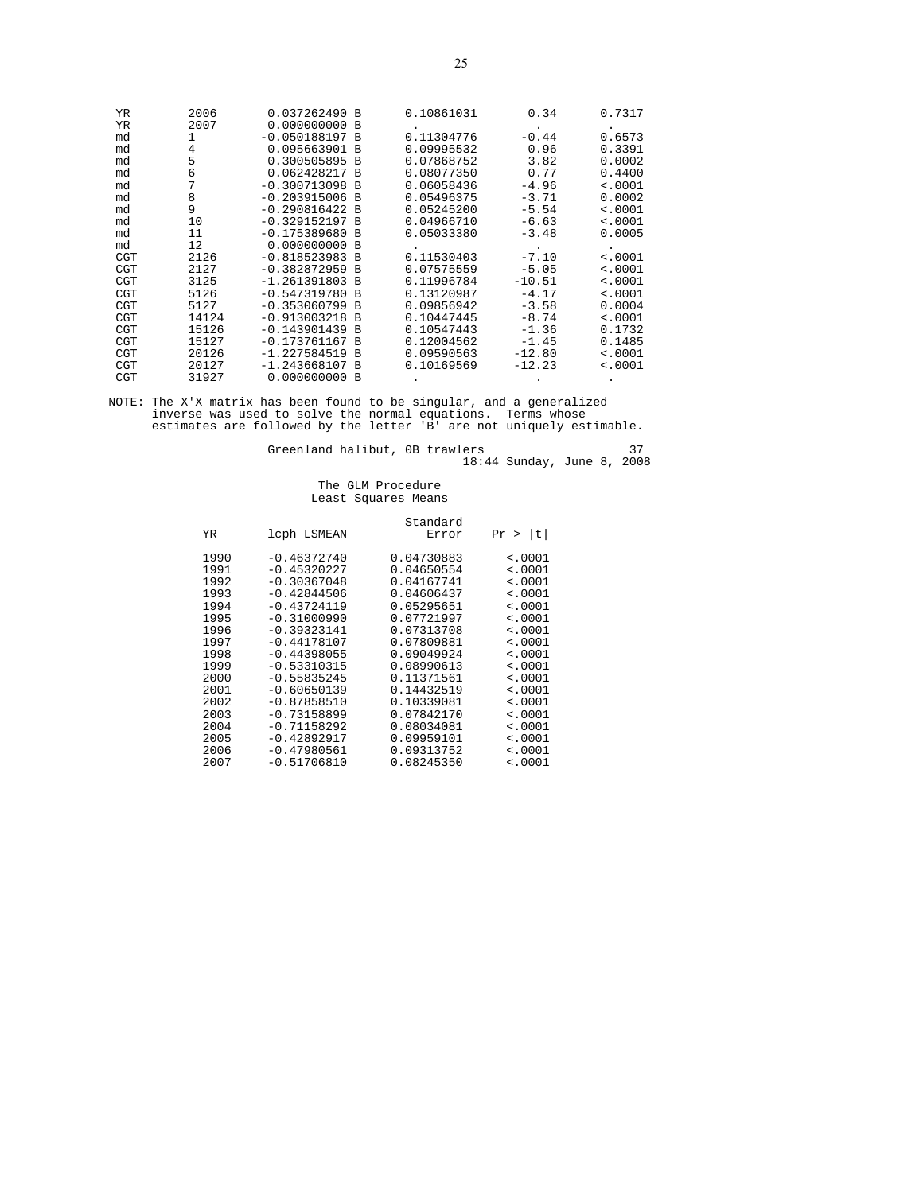| YR         | 2006  | 0.037262490 B              | 0.10861031 | 0.34     | 0.7317      |
|------------|-------|----------------------------|------------|----------|-------------|
| YR         | 2007  | 0.000000000<br>B           |            |          |             |
| md         | 1     | $-0.050188197 B$           | 0.11304776 | $-0.44$  | 0.6573      |
| md         | 4     | 0.095663901 B              | 0.09995532 | 0.96     | 0.3391      |
| md         | 5     | 0.300505895<br>B           | 0.07868752 | 3.82     | 0.0002      |
| md         | 6     | 0.062428217<br><b>B</b>    | 0.08077350 | 0.77     | 0.4400      |
| md         | 7     | $-0.300713098$<br><b>B</b> | 0.06058436 | $-4.96$  | < .0001     |
| md         | 8     | $-0.203915006$ B           | 0.05496375 | $-3.71$  | 0.0002      |
| md         | 9     | $-0.290816422 B$           | 0.05245200 | $-5.54$  | < .0001     |
| md         | 10    | -0.329152197 B             | 0.04966710 | $-6.63$  | $\leq 0001$ |
| md         | 11    | $-0.175389680$<br>B        | 0.05033380 | $-3.48$  | 0.0005      |
| md         | 12    | $0.000000000$ B            |            |          |             |
| <b>CGT</b> | 2126  | $-0.818523983$<br>B        | 0.11530403 | $-7.10$  | $\leq 0001$ |
| <b>CGT</b> | 2127  | $-0.382872959$<br>B        | 0.07575559 | $-5.05$  | < .0001     |
| <b>CGT</b> | 3125  | $-1.261391803 B$           | 0.11996784 | $-10.51$ | < .0001     |
| <b>CGT</b> | 5126  | $-0.547319780$<br><b>B</b> | 0.13120987 | $-4.17$  | < .0001     |
| <b>CGT</b> | 5127  | $-0.353060799$<br>B        | 0.09856942 | $-3.58$  | 0.0004      |
| <b>CGT</b> | 14124 | $-0.913003218$<br><b>B</b> | 0.10447445 | $-8.74$  | $\leq 0001$ |
| <b>CGT</b> | 15126 | $-0.143901439$<br>B        | 0.10547443 | $-1.36$  | 0.1732      |
| <b>CGT</b> | 15127 | $-0.173761167 B$           | 0.12004562 | $-1.45$  | 0.1485      |
| <b>CGT</b> | 20126 | $-1.227584519$<br><b>B</b> | 0.09590563 | $-12.80$ | < .0001     |
| <b>CGT</b> | 20127 | $-1.243668107$<br><b>B</b> | 0.10169569 | $-12.23$ | $\leq 0001$ |
| CGT        | 31927 | 0.000000000<br>B           |            |          |             |

NOTE: The X'X matrix has been found to be singular, and a generalized inverse was used to solve the normal equations. Terms whose estimates are followed by the letter 'B' are not uniquely estimable.

Greenland halibut, 0B trawlers 37 18:44 Sunday, June 8, 2008

|      |               | Standard   |         |
|------|---------------|------------|---------|
| YR   | lcph LSMEAN   | Error      | Pr >  t |
| 1990 | $-0.46372740$ | 0.04730883 | < .0001 |
| 1991 | $-0.45320227$ | 0.04650554 | < .0001 |
| 1992 | $-0.30367048$ | 0.04167741 | < .0001 |
| 1993 | $-0.42844506$ | 0.04606437 | < .0001 |
| 1994 | $-0.43724119$ | 0.05295651 | < .0001 |
| 1995 | $-0.31000990$ | 0.07721997 | < .0001 |
| 1996 | $-0.39323141$ | 0.07313708 | < .0001 |
| 1997 | $-0.44178107$ | 0.07809881 | < .0001 |
| 1998 | $-0.44398055$ | 0.09049924 | < .0001 |
| 1999 | $-0.53310315$ | 0.08990613 | < .0001 |
| 2000 | $-0.55835245$ | 0.11371561 | < .0001 |
| 2001 | $-0.60650139$ | 0.14432519 | < .0001 |
| 2002 | $-0.87858510$ | 0.10339081 | < .0001 |
| 2003 | $-0.73158899$ | 0.07842170 | < .0001 |
| 2004 | $-0.71158292$ | 0.08034081 | < .0001 |
| 2005 | $-0.42892917$ | 0.09959101 | < .0001 |
| 2006 | $-0.47980561$ | 0.09313752 | < .0001 |
| 2007 | $-0.51706810$ | 0.08245350 | < .0001 |
|      |               |            |         |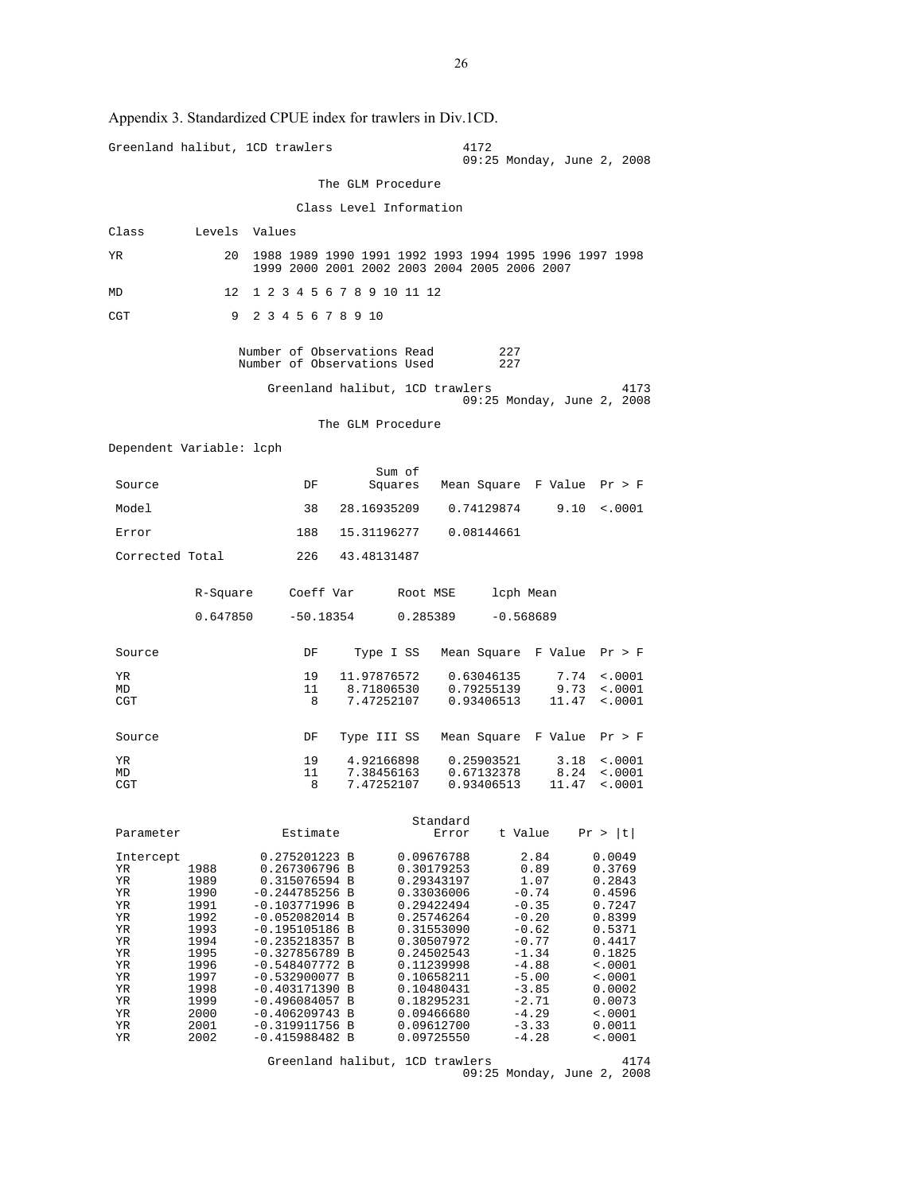|                          |               | Greenland halibut, 1CD trawlers                                                                        |                           |                          | 4172<br>09:25 Monday, June 2, 2008 |                    |                                  |
|--------------------------|---------------|--------------------------------------------------------------------------------------------------------|---------------------------|--------------------------|------------------------------------|--------------------|----------------------------------|
|                          |               |                                                                                                        | The GLM Procedure         |                          |                                    |                    |                                  |
|                          |               |                                                                                                        |                           | Class Level Information  |                                    |                    |                                  |
| Class                    | Levels Values |                                                                                                        |                           |                          |                                    |                    |                                  |
| YR.                      | 20            | 1988 1989 1990 1991 1992 1993 1994 1995 1996 1997 1998<br>1999 2000 2001 2002 2003 2004 2005 2006 2007 |                           |                          |                                    |                    |                                  |
| MD                       | 12            | 1 2 3 4 5 6 7 8 9 10 11 12                                                                             |                           |                          |                                    |                    |                                  |
| CGT                      | 9             | 2 3 4 5 6 7 8 9 10                                                                                     |                           |                          |                                    |                    |                                  |
|                          |               | Number of Observations Read<br>Number of Observations Used                                             |                           |                          | 227<br>227                         |                    |                                  |
|                          |               | Greenland halibut, 1CD trawlers                                                                        |                           |                          | 09:25 Monday, June 2, 2008         |                    | 4173                             |
|                          |               |                                                                                                        | The GLM Procedure         |                          |                                    |                    |                                  |
| Dependent Variable: lcph |               |                                                                                                        |                           |                          |                                    |                    |                                  |
|                          |               |                                                                                                        | Sum of                    |                          |                                    |                    |                                  |
| Source                   |               | DF                                                                                                     |                           |                          | Squares Mean Square F Value Pr > F |                    |                                  |
| Model                    |               | 38                                                                                                     | 28.16935209               |                          | 0.74129874                         | 9.10               | $\sim 0001$                      |
| Error                    |               | 188                                                                                                    | 15.31196277               |                          | 0.08144661                         |                    |                                  |
| Corrected Total          |               |                                                                                                        | 226 43.48131487           |                          |                                    |                    |                                  |
|                          | R-Square      | Coeff Var                                                                                              |                           | Root MSE                 | lcph Mean                          |                    |                                  |
|                          | 0.647850      |                                                                                                        |                           | $-50.18354$ 0.285389     | $-0.568689$                        |                    |                                  |
| Source                   |               | DF                                                                                                     | Type I SS                 |                          | Mean Square F Value Pr > F         |                    |                                  |
| YR.<br>MD                |               | 19<br>11                                                                                               | 11.97876572<br>8.71806530 |                          | 0.63046135<br>0.79255139           | 7.74<br>9.73       | $\sim 0001$<br>$\sim 0001$       |
| CGT                      |               | 8                                                                                                      | 7.47252107                |                          | 0.93406513                         | 11.47              | $\sim .0001$                     |
| Source                   |               | DF                                                                                                     | Type III SS               |                          | Mean Square F Value Pr > F         |                    |                                  |
| YR<br>MD                 |               | 19<br>11                                                                                               | 4.92166898<br>7.38456163  |                          | 0.25903521<br>0.67132378           | 3.18               | $\sim 0001$<br>$8.24 \div .0001$ |
| CGT                      |               | 8                                                                                                      | 7.47252107                |                          | 0.93406513                         |                    | $11.47$ <.0001                   |
| Parameter                |               | Estimate                                                                                               |                           | Standard<br>Error        | t Value                            |                    | Pr >  t                          |
| Intercept                |               | 0.275201223 B                                                                                          |                           | 0.09676788               |                                    | 2.84               | 0.0049                           |
| ΥR<br>YR                 | 1988<br>1989  | 0.267306796 B<br>0.315076594 B                                                                         |                           | 0.30179253<br>0.29343197 |                                    | 0.89<br>1.07       | 0.3769<br>0.2843                 |
| ΥR<br>YR                 | 1990<br>1991  | $-0.244785256$ B<br>$-0.103771996$ B                                                                   |                           | 0.33036006<br>0.29422494 |                                    | $-0.74$<br>$-0.35$ | 0.4596<br>0.7247                 |
| YR                       | 1992          | $-0.052082014$ B                                                                                       |                           | 0.25746264               |                                    | $-0.20$            | 0.8399                           |
| ΥR<br>YR                 | 1993<br>1994  | $-0.195105186$ B<br>$-0.235218357 B$                                                                   |                           | 0.31553090<br>0.30507972 |                                    | $-0.62$<br>$-0.77$ | 0.5371<br>0.4417                 |
| YR<br>ΥR                 | 1995<br>1996  | $-0.327856789$ B<br>$-0.548407772 B$                                                                   |                           | 0.24502543<br>0.11239998 |                                    | $-1.34$<br>$-4.88$ | 0.1825<br>$\sim 0001$            |
| YR                       | 1997          | $-0.532900077$ B                                                                                       |                           | 0.10658211               |                                    | $-5.00$            | $\sim 0001$                      |
| ΥR<br>ΥR                 | 1998<br>1999  | $-0.403171390 B$<br>$-0.496084057 B$                                                                   |                           | 0.10480431<br>0.18295231 |                                    | $-3.85$<br>$-2.71$ | 0.0002<br>0.0073                 |
| YR                       | 2000          | $-0.406209743 B$                                                                                       |                           | 0.09466680               |                                    | $-4.29$            | $\sim 0001$                      |
| ΥR<br>YR                 | 2001<br>2002  | $-0.319911756$ B<br>$-0.415988482 B$                                                                   |                           | 0.09612700<br>0.09725550 |                                    | $-3.33$<br>$-4.28$ | 0.0011<br>$\sim 0001$            |
|                          |               | Greenland halibut, 1CD trawlers                                                                        |                           |                          |                                    |                    | 4174                             |

Appendix 3. Standardized CPUE index for trawlers in Div.1CD.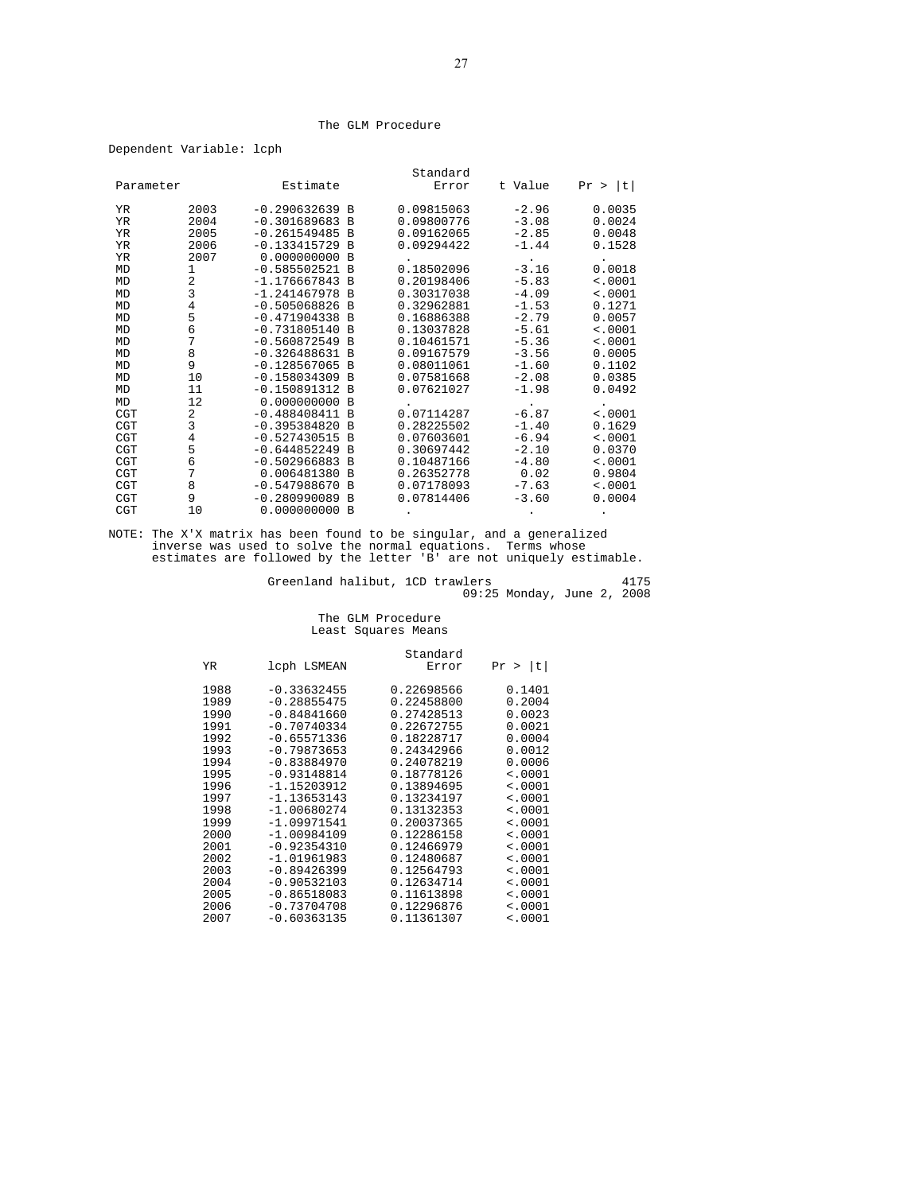#### The GLM Procedure

Dependent Variable: lcph

|            |      |                  |                | Standard   |         |            |
|------------|------|------------------|----------------|------------|---------|------------|
| Parameter  |      | Estimate         |                | Error      | t Value | t <br>Pr > |
|            |      |                  |                |            |         |            |
| YR         | 2003 | $-0.290632639 B$ |                | 0.09815063 | $-2.96$ | 0.0035     |
| YR         | 2004 | $-0.301689683 B$ |                | 0.09800776 | $-3.08$ | 0.0024     |
| ΥR         | 2005 | $-0.261549485$ B |                | 0.09162065 | $-2.85$ | 0.0048     |
| YR         | 2006 | $-0.133415729 B$ |                | 0.09294422 | $-1.44$ | 0.1528     |
| ΥR         | 2007 | $0.000000000$ B  |                |            |         |            |
| MD         | 1    | $-0.585502521 B$ |                | 0.18502096 | $-3.16$ | 0.0018     |
| MD         | 2    | $-1.176667843$ B |                | 0.20198406 | $-5.83$ | < .0001    |
| MD         | 3    | $-1.241467978 B$ |                | 0.30317038 | $-4.09$ | < .0001    |
| MD         | 4    | $-0.505068826 B$ |                | 0.32962881 | $-1.53$ | 0.1271     |
| MD         | 5    | $-0.471904338 B$ |                | 0.16886388 | $-2.79$ | 0.0057     |
| MD         | 6    | $-0.731805140 B$ |                | 0.13037828 | $-5.61$ | < .0001    |
| MD         | 7    | $-0.560872549 B$ |                | 0.10461571 | $-5.36$ | < .0001    |
| MD         | 8    | $-0.326488631 B$ |                | 0.09167579 | $-3.56$ | 0.0005     |
| MD         | 9    | $-0.128567065$ B |                | 0.08011061 | $-1.60$ | 0.1102     |
| MD         | 10   | $-0.158034309$ B |                | 0.07581668 | $-2.08$ | 0.0385     |
| MD         | 11   | $-0.150891312 B$ |                | 0.07621027 | $-1.98$ | 0.0492     |
| MD         | 12   | 0.000000000 B    |                |            |         |            |
| <b>CGT</b> | 2    | $-0.488408411 B$ |                | 0.07114287 | $-6.87$ | < .0001    |
| <b>CGT</b> | 3    | $-0.395384820 B$ |                | 0.28225502 | $-1.40$ | 0.1629     |
| <b>CGT</b> | 4    | $-0.527430515$   | $\overline{B}$ | 0.07603601 | $-6.94$ | < .0001    |
| <b>CGT</b> | 5    | $-0.644852249 B$ |                | 0.30697442 | $-2.10$ | 0.0370     |
| <b>CGT</b> | 6    | $-0.502966883 B$ |                | 0.10487166 | $-4.80$ | < .0001    |
| <b>CGT</b> | 7    | 0.006481380 B    |                | 0.26352778 | 0.02    | 0.9804     |
| <b>CGT</b> | 8    | $-0.547988670 B$ |                | 0.07178093 | $-7.63$ | < .0001    |
| <b>CGT</b> | 9    | $-0.280990089$ B |                | 0.07814406 | $-3.60$ | 0.0004     |
| <b>CGT</b> | 10   | 0.000000000      | $\overline{B}$ |            |         |            |

NOTE: The X'X matrix has been found to be singular, and a generalized inverse was used to solve the normal equations. Terms whose estimates are followed by the letter 'B' are not uniquely estimable.

Greenland halibut, 1CD trawlers 4175 09:25 Monday, June 2, 2008

|      |               | Standard   |                    |
|------|---------------|------------|--------------------|
| YR   | lcph LSMEAN   | Error      | t <br>Pr<br>$\geq$ |
| 1988 | $-0.33632455$ | 0.22698566 | 0.1401             |
| 1989 | $-0.28855475$ | 0.22458800 | 0.2004             |
| 1990 | $-0.84841660$ | 0.27428513 | 0.0023             |
| 1991 | $-0.70740334$ | 0.22672755 | 0.0021             |
| 1992 | $-0.65571336$ | 0.18228717 | 0.0004             |
| 1993 | $-0.79873653$ | 0.24342966 | 0.0012             |
| 1994 | $-0.83884970$ | 0.24078219 | 0.0006             |
| 1995 | $-0.93148814$ | 0.18778126 | < .0001            |
| 1996 | $-1.15203912$ | 0.13894695 | $\leq 0001$        |
| 1997 | $-1.13653143$ | 0.13234197 | $\leq 0001$        |
| 1998 | $-1.00680274$ | 0.13132353 | < .0001            |
| 1999 | $-1.09971541$ | 0.20037365 | < .0001            |
| 2000 | $-1.00984109$ | 0.12286158 | $\leq 0001$        |
| 2001 | $-0.92354310$ | 0.12466979 | < .0001            |
| 2002 | $-1.01961983$ | 0.12480687 | < .0001            |
| 2003 | $-0.89426399$ | 0.12564793 | < .0001            |
| 2004 | $-0.90532103$ | 0.12634714 | < .0001            |
| 2005 | $-0.86518083$ | 0.11613898 | < .0001            |
| 2006 | $-0.73704708$ | 0.12296876 | < .0001            |
| 2007 | $-0.60363135$ | 0.11361307 | < .0001            |
|      |               |            |                    |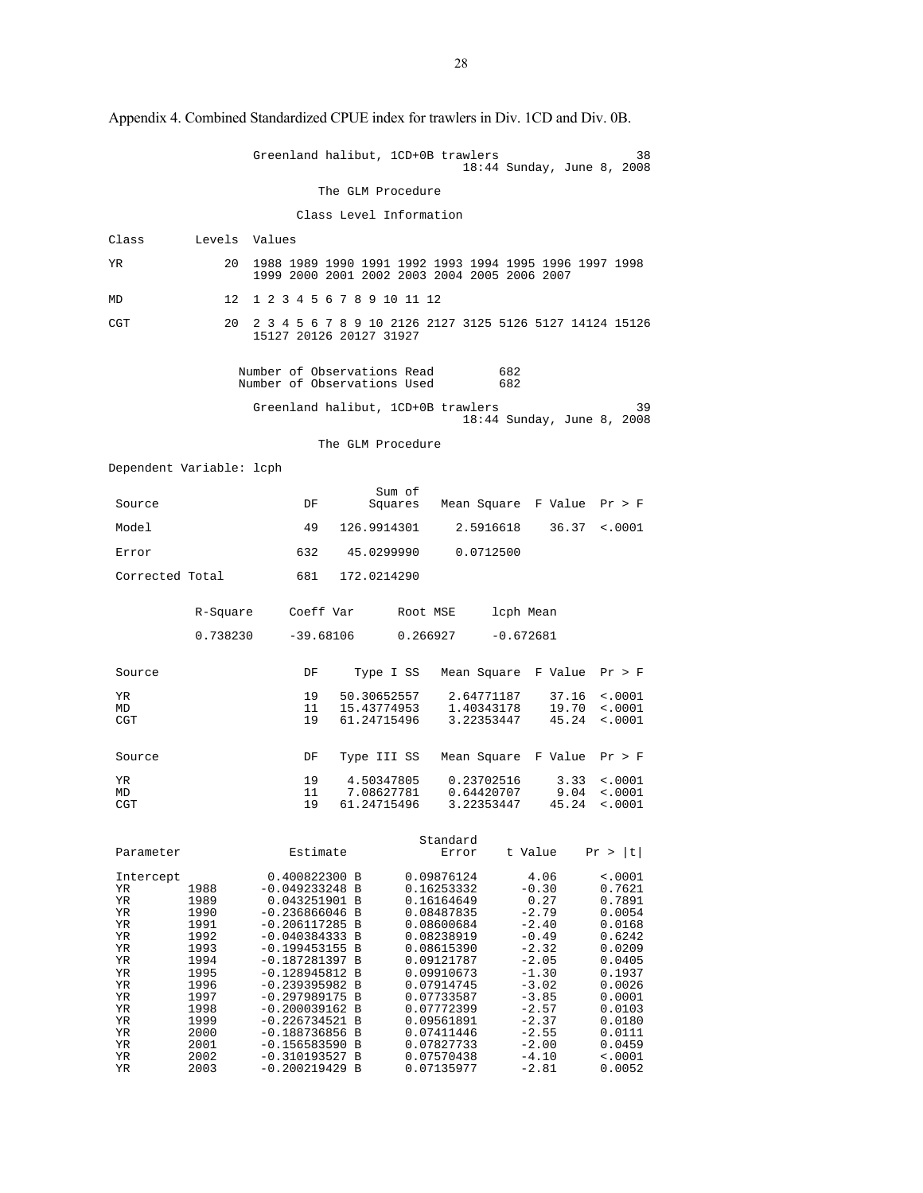|                                                                                                           |                                                                                                                              | Greenland halibut, 1CD+0B trawlers                                                                                                                                                                                                                                                                                                         |                                         |             |                                                                                                                                                                                                                                            |             |                                                                                                                                                                                   | 38<br>18:44 Sunday, June 8, 2008                                                                                                                                                 |
|-----------------------------------------------------------------------------------------------------------|------------------------------------------------------------------------------------------------------------------------------|--------------------------------------------------------------------------------------------------------------------------------------------------------------------------------------------------------------------------------------------------------------------------------------------------------------------------------------------|-----------------------------------------|-------------|--------------------------------------------------------------------------------------------------------------------------------------------------------------------------------------------------------------------------------------------|-------------|-----------------------------------------------------------------------------------------------------------------------------------------------------------------------------------|----------------------------------------------------------------------------------------------------------------------------------------------------------------------------------|
|                                                                                                           |                                                                                                                              |                                                                                                                                                                                                                                                                                                                                            | The GLM Procedure                       |             |                                                                                                                                                                                                                                            |             |                                                                                                                                                                                   |                                                                                                                                                                                  |
|                                                                                                           |                                                                                                                              |                                                                                                                                                                                                                                                                                                                                            | Class Level Information                 |             |                                                                                                                                                                                                                                            |             |                                                                                                                                                                                   |                                                                                                                                                                                  |
| Class                                                                                                     | Levels Values                                                                                                                |                                                                                                                                                                                                                                                                                                                                            |                                         |             |                                                                                                                                                                                                                                            |             |                                                                                                                                                                                   |                                                                                                                                                                                  |
| ΥR                                                                                                        | 20                                                                                                                           | 1988 1989 1990 1991 1992 1993 1994 1995 1996 1997 1998<br>1999 2000 2001 2002 2003 2004 2005 2006 2007                                                                                                                                                                                                                                     |                                         |             |                                                                                                                                                                                                                                            |             |                                                                                                                                                                                   |                                                                                                                                                                                  |
| MD                                                                                                        | 12                                                                                                                           | 1 2 3 4 5 6 7 8 9 10 11 12                                                                                                                                                                                                                                                                                                                 |                                         |             |                                                                                                                                                                                                                                            |             |                                                                                                                                                                                   |                                                                                                                                                                                  |
| CGT                                                                                                       | 20                                                                                                                           | 2 3 4 5 6 7 8 9 10 2126 2127 3125 5126 5127 14124 15126<br>15127 20126 20127 31927                                                                                                                                                                                                                                                         |                                         |             |                                                                                                                                                                                                                                            |             |                                                                                                                                                                                   |                                                                                                                                                                                  |
|                                                                                                           |                                                                                                                              | Number of Observations Read<br>Number of Observations Used                                                                                                                                                                                                                                                                                 |                                         |             |                                                                                                                                                                                                                                            | 682<br>682  |                                                                                                                                                                                   |                                                                                                                                                                                  |
|                                                                                                           |                                                                                                                              | Greenland halibut, 1CD+0B trawlers                                                                                                                                                                                                                                                                                                         |                                         |             |                                                                                                                                                                                                                                            |             |                                                                                                                                                                                   | 39<br>18:44 Sunday, June 8, 2008                                                                                                                                                 |
|                                                                                                           |                                                                                                                              |                                                                                                                                                                                                                                                                                                                                            | The GLM Procedure                       |             |                                                                                                                                                                                                                                            |             |                                                                                                                                                                                   |                                                                                                                                                                                  |
| Dependent Variable: lcph                                                                                  |                                                                                                                              |                                                                                                                                                                                                                                                                                                                                            |                                         |             |                                                                                                                                                                                                                                            |             |                                                                                                                                                                                   |                                                                                                                                                                                  |
| Source                                                                                                    |                                                                                                                              | DF                                                                                                                                                                                                                                                                                                                                         |                                         | Sum of      |                                                                                                                                                                                                                                            |             | Squares Mean Square F Value Pr > F                                                                                                                                                |                                                                                                                                                                                  |
| Model                                                                                                     |                                                                                                                              | 49                                                                                                                                                                                                                                                                                                                                         | 126.9914301                             |             |                                                                                                                                                                                                                                            | 2.5916618   | 36.37                                                                                                                                                                             | $\sim 0001$                                                                                                                                                                      |
| Error                                                                                                     |                                                                                                                              | 632                                                                                                                                                                                                                                                                                                                                        |                                         | 45.0299990  | 0.0712500                                                                                                                                                                                                                                  |             |                                                                                                                                                                                   |                                                                                                                                                                                  |
| Corrected Total                                                                                           |                                                                                                                              | 681                                                                                                                                                                                                                                                                                                                                        | 172.0214290                             |             |                                                                                                                                                                                                                                            |             |                                                                                                                                                                                   |                                                                                                                                                                                  |
|                                                                                                           | R-Square                                                                                                                     | Coeff Var                                                                                                                                                                                                                                                                                                                                  |                                         | Root MSE    |                                                                                                                                                                                                                                            | lcph Mean   |                                                                                                                                                                                   |                                                                                                                                                                                  |
|                                                                                                           | 0.738230                                                                                                                     | $-39.68106$                                                                                                                                                                                                                                                                                                                                |                                         | 0.266927    |                                                                                                                                                                                                                                            | $-0.672681$ |                                                                                                                                                                                   |                                                                                                                                                                                  |
| Source                                                                                                    |                                                                                                                              | DF                                                                                                                                                                                                                                                                                                                                         |                                         | Type I SS   |                                                                                                                                                                                                                                            |             | Mean Square F Value Pr > F                                                                                                                                                        |                                                                                                                                                                                  |
| ΥR<br>MD<br>CGT                                                                                           |                                                                                                                              | 19<br>11<br>19                                                                                                                                                                                                                                                                                                                             | 15.43774953<br>61.24715496              | 50.30652557 | 1.40343178<br>3.22353447                                                                                                                                                                                                                   | 2.64771187  | 37.16<br>19.70<br>45.24                                                                                                                                                           | $\sim 0001$<br>< .0001<br>< .0001                                                                                                                                                |
| Source                                                                                                    |                                                                                                                              | DF                                                                                                                                                                                                                                                                                                                                         | Type III SS                             |             |                                                                                                                                                                                                                                            |             | Mean Square F Value Pr > F                                                                                                                                                        |                                                                                                                                                                                  |
| ΥR<br>MD<br>CGT                                                                                           |                                                                                                                              | 19<br>11<br>19                                                                                                                                                                                                                                                                                                                             | 4.50347805<br>7.08627781<br>61.24715496 |             | 0.23702516<br>0.64420707<br>3.22353447                                                                                                                                                                                                     |             | 3.33<br>9.04<br>45.24                                                                                                                                                             | < .0001<br>$\sim 0001$<br>< .0001                                                                                                                                                |
| Parameter                                                                                                 |                                                                                                                              | Estimate                                                                                                                                                                                                                                                                                                                                   |                                         |             | Standard<br>Error                                                                                                                                                                                                                          | t Value     |                                                                                                                                                                                   | Pr >  t                                                                                                                                                                          |
| Intercept<br>ΥR<br>ΥR<br>ΥR<br>ΥR<br>ΥR<br>ΥR<br>ΥR<br>ΥR<br>ΥR<br>ΥR<br>ΥR<br>ΥR<br>ΥR<br>ΥR<br>ΥR<br>ΥR | 1988<br>1989<br>1990<br>1991<br>1992<br>1993<br>1994<br>1995<br>1996<br>1997<br>1998<br>1999<br>2000<br>2001<br>2002<br>2003 | 0.400822300 B<br>$-0.049233248$ B<br>0.043251901 B<br>$-0.236866046$ B<br>$-0.206117285$ B<br>$-0.040384333 B$<br>$-0.199453155 B$<br>$-0.187281397 B$<br>$-0.128945812 B$<br>$-0.239395982 B$<br>$-0.297989175 B$<br>$-0.200039162 B$<br>$-0.226734521$ B<br>$-0.188736856$ B<br>$-0.156583590 B$<br>$-0.310193527 B$<br>$-0.200219429 B$ |                                         |             | 0.09876124<br>0.16253332<br>0.16164649<br>0.08487835<br>0.08600684<br>0.08238919<br>0.08615390<br>0.09121787<br>0.09910673<br>0.07914745<br>0.07733587<br>0.07772399<br>0.09561891<br>0.07411446<br>0.07827733<br>0.07570438<br>0.07135977 |             | 4.06<br>$-0.30$<br>0.27<br>$-2.79$<br>$-2.40$<br>$-0.49$<br>$-2.32$<br>$-2.05$<br>$-1.30$<br>$-3.02$<br>$-3.85$<br>$-2.57$<br>$-2.37$<br>$-2.55$<br>$-2.00$<br>$-4.10$<br>$-2.81$ | $\sim 0001$<br>0.7621<br>0.7891<br>0.0054<br>0.0168<br>0.6242<br>0.0209<br>0.0405<br>0.1937<br>0.0026<br>0.0001<br>0.0103<br>0.0180<br>0.0111<br>0.0459<br>$\sim 0001$<br>0.0052 |

Appendix 4. Combined Standardized CPUE index for trawlers in Div. 1CD and Div. 0B.